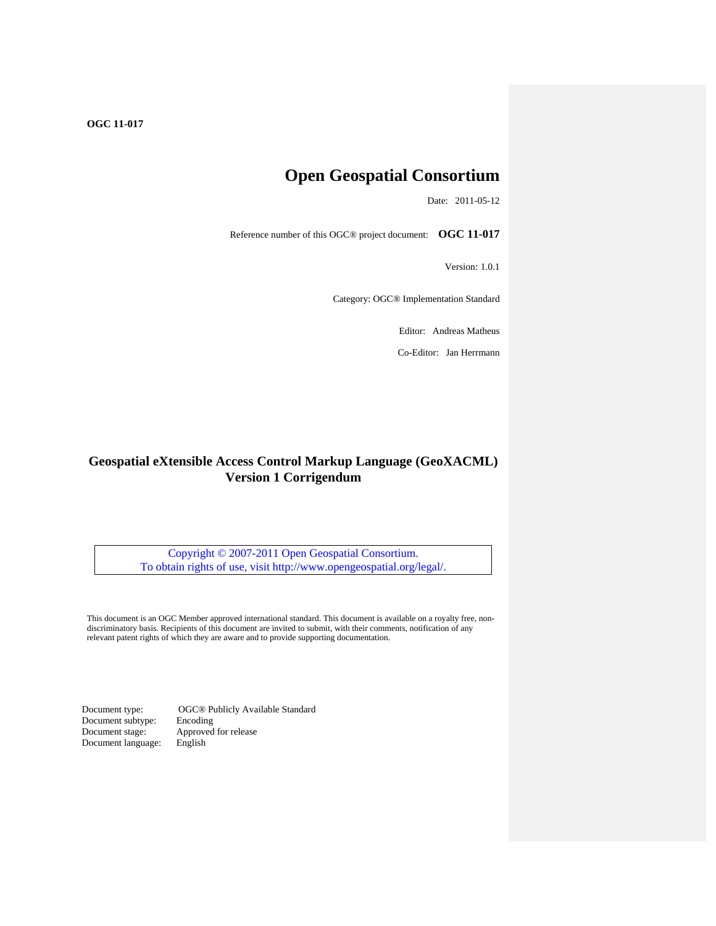# **Open Geospatial Consortium**

Date: 2011-05-12

Reference number of this OGC® project document: **OGC 11-017** 

Version: 1.0.1

Category: OGC® Implementation Standard

Editor: Andreas Matheus

Co-Editor: Jan Herrmann

# **Geospatial eXtensible Access Control Markup Language (GeoXACML) Version 1 Corrigendum**

Copyright © 2007-2011 Open Geospatial Consortium. To obtain rights of use, visit<http://www.opengeospatial.org/legal/>.

This document is an OGC Member approved international standard. This document is available on a royalty free, nondiscriminatory basis. Recipients of this document are invited to submit, with their comments, notification of any relevant patent rights of which they are aware and to provide supporting documentation.

Document type: OGC® Publicly Available Standard<br>Document subtype: Encoding Document subtype:<br>Document stage: Approved for release<br>English Document language: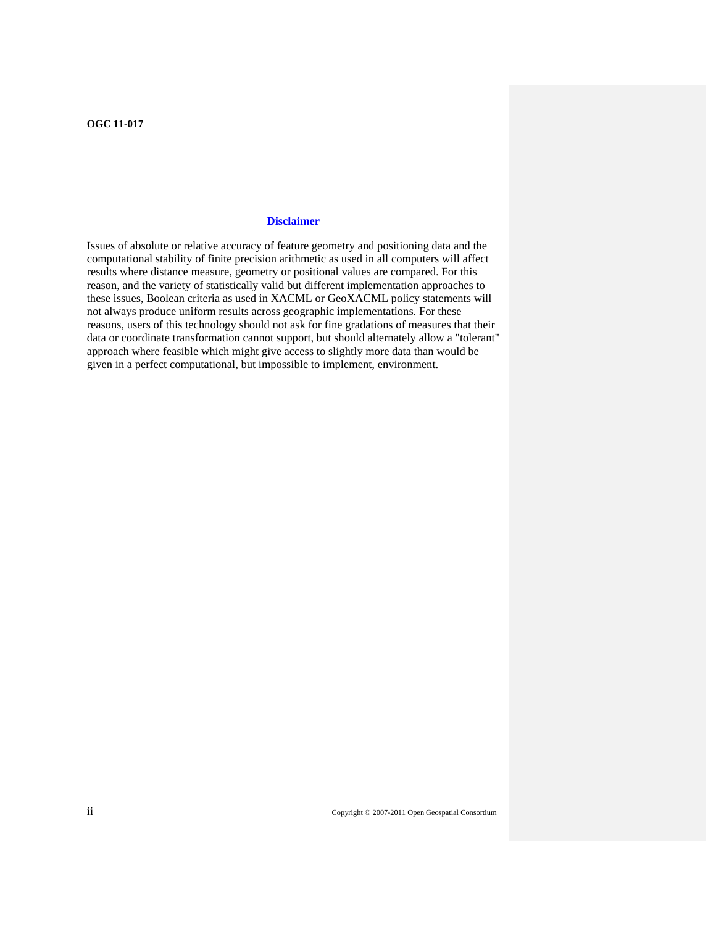# **Disclaimer**

Issues of absolute or relative accuracy of feature geometry and positioning data and the computational stability of finite precision arithmetic as used in all computers will affect results where distance measure, geometry or positional values are compared. For this reason, and the variety of statistically valid but different implementation approaches to these issues, Boolean criteria as used in XACML or GeoXACML policy statements will not always produce uniform results across geographic implementations. For these reasons, users of this technology should not ask for fine gradations of measures that their data or coordinate transformation cannot support, but should alternately allow a "tolerant" approach where feasible which might give access to slightly more data than would be given in a perfect computational, but impossible to implement, environment.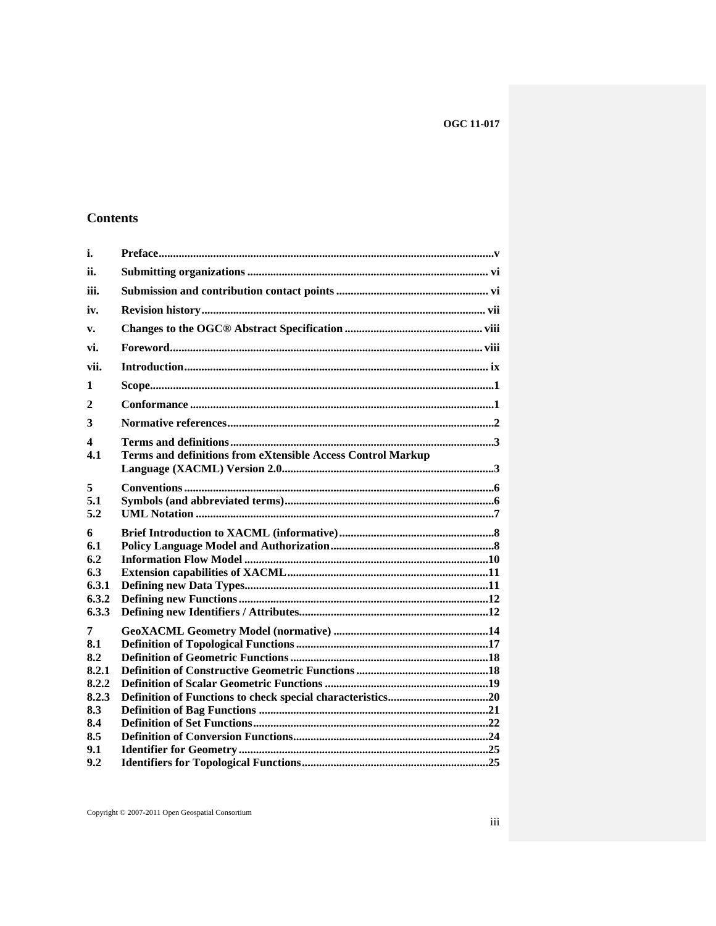# **Contents**

| i.                                                                     |                                                             |
|------------------------------------------------------------------------|-------------------------------------------------------------|
| ii.                                                                    |                                                             |
| iii.                                                                   |                                                             |
| iv.                                                                    |                                                             |
| V <sub>1</sub>                                                         |                                                             |
| vi.                                                                    |                                                             |
| vii.                                                                   |                                                             |
| 1                                                                      |                                                             |
| 2                                                                      |                                                             |
| 3                                                                      |                                                             |
| 4<br>4.1                                                               | Terms and definitions from eXtensible Access Control Markup |
| 5<br>5.1<br>5.2                                                        |                                                             |
| 6<br>6.1<br>6.2<br>6.3<br>6.3.1<br>6.3.2<br>6.3.3                      |                                                             |
| 7<br>8.1<br>8.2<br>8.2.1<br>8.2.2<br>8.2.3<br>8.3<br>8.4<br>8.5<br>9.1 |                                                             |
| 9.2                                                                    |                                                             |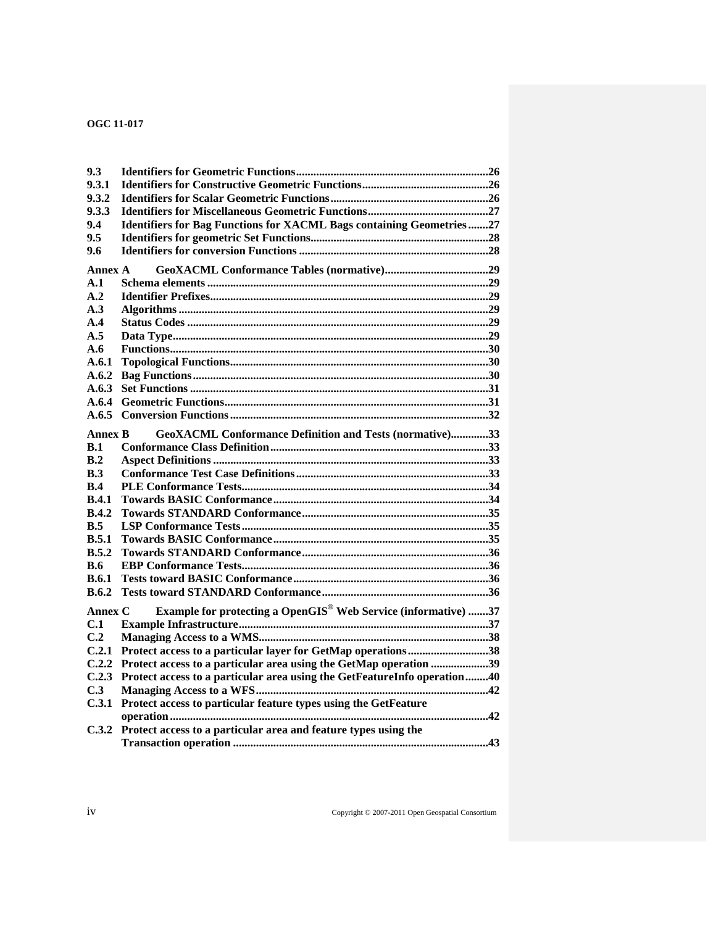| <b>OGC 11-017</b> |  |  |
|-------------------|--|--|
|-------------------|--|--|

| 9.3            |                                                                             |  |
|----------------|-----------------------------------------------------------------------------|--|
| 9.3.1          |                                                                             |  |
| 9.3.2          |                                                                             |  |
| 9.3.3          |                                                                             |  |
| 9.4            | <b>Identifiers for Bag Functions for XACML Bags containing Geometries27</b> |  |
| 9.5            |                                                                             |  |
| 9.6            |                                                                             |  |
|                |                                                                             |  |
| Annex A        |                                                                             |  |
| A.1            |                                                                             |  |
| A.2            |                                                                             |  |
| A.3            |                                                                             |  |
| A.4            |                                                                             |  |
| A.5            |                                                                             |  |
| A.6            |                                                                             |  |
| A.6.1          |                                                                             |  |
| A.6.2          |                                                                             |  |
| A.6.3          |                                                                             |  |
| A.6.4          |                                                                             |  |
| A.6.5          |                                                                             |  |
| <b>Annex B</b> | GeoXACML Conformance Definition and Tests (normative)33                     |  |
| B.1            |                                                                             |  |
| B.2            |                                                                             |  |
| B.3            |                                                                             |  |
| B.4            |                                                                             |  |
| B.4.1          |                                                                             |  |
| B.4.2          |                                                                             |  |
| B.5            |                                                                             |  |
| B.5.1          |                                                                             |  |
| B.5.2          |                                                                             |  |
| B.6            |                                                                             |  |
| B.6.1          |                                                                             |  |
| B.6.2          |                                                                             |  |
| Annex C        | Example for protecting a OpenGIS® Web Service (informative) 37              |  |
| C.1            |                                                                             |  |
| C.2            |                                                                             |  |
| C.2.1          |                                                                             |  |
|                | Protect access to a particular layer for GetMap operations38                |  |
| C.2.2          | Protect access to a particular area using the GetMap operation 39           |  |
| C.2.3          | Protect access to a particular area using the GetFeatureInfo operation40    |  |
| C.3            |                                                                             |  |
| C.3.1          | Protect access to particular feature types using the GetFeature             |  |
|                | 42                                                                          |  |
| C.3.2          | Protect access to a particular area and feature types using the             |  |
|                |                                                                             |  |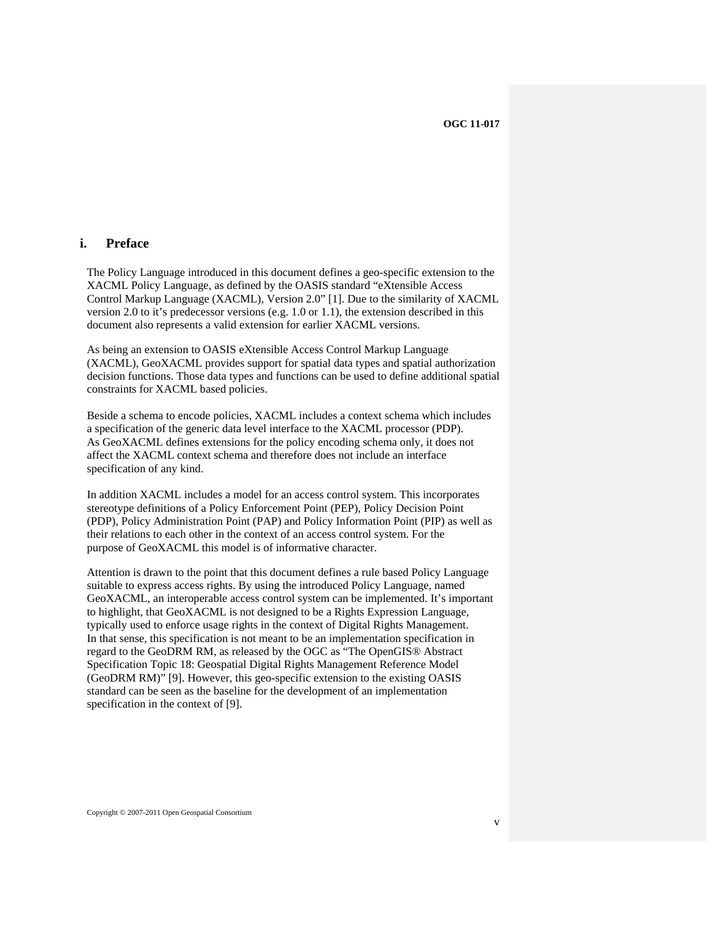# <span id="page-4-1"></span><span id="page-4-0"></span>**i. Preface**

The Policy Language introduced in this document defines a geo-specific extension to the XACML Policy Language, as defined by the OASIS standard "eXtensible Access Control Markup Language (XACML), Version 2.0" [\[1\]](#page-11-2). Due to the similarity of XACML version 2.0 to it's predecessor versions (e.g. 1.0 or 1.1), the extension described in this document also represents a valid extension for earlier XACML versions.

As being an extension to OASIS eXtensible Access Control Markup Language (XACML), GeoXACML provides support for spatial data types and spatial authorization decision functions. Those data types and functions can be used to define additional spatial constraints for XACML based policies.

Beside a schema to encode policies, XACML includes a context schema which includes a specification of the generic data level interface to the XACML processor (PDP). As GeoXACML defines extensions for the policy encoding schema only, it does not affect the XACML context schema and therefore does not include an interface specification of any kind.

In addition XACML includes a model for an access control system. This incorporates stereotype definitions of a Policy Enforcement Point (PEP), Policy Decision Point (PDP), Policy Administration Point (PAP) and Policy Information Point (PIP) as well as their relations to each other in the context of an access control system. For the purpose of GeoXACML this model is of informative character.

Attention is drawn to the point that this document defines a rule based Policy Language suitable to express access rights. By using the introduced Policy Language, named GeoXACML, an interoperable access control system can be implemented. It's important to highlight, that GeoXACML is not designed to be a Rights Expression Language, typically used to enforce usage rights in the context of Digital Rights Management. In that sense, this specification is not meant to be an implementation specification in regard to the GeoDRM RM, as released by the OGC as "The OpenGIS® Abstract Specification Topic 18: Geospatial Digital Rights Management Reference Model (GeoDRM RM)" [\[9\].](#page-54-0) However, this geo-specific extension to the existing OASIS standard can be seen as the baseline for the development of an implementation specification in the context of [\[9\].](#page-54-0)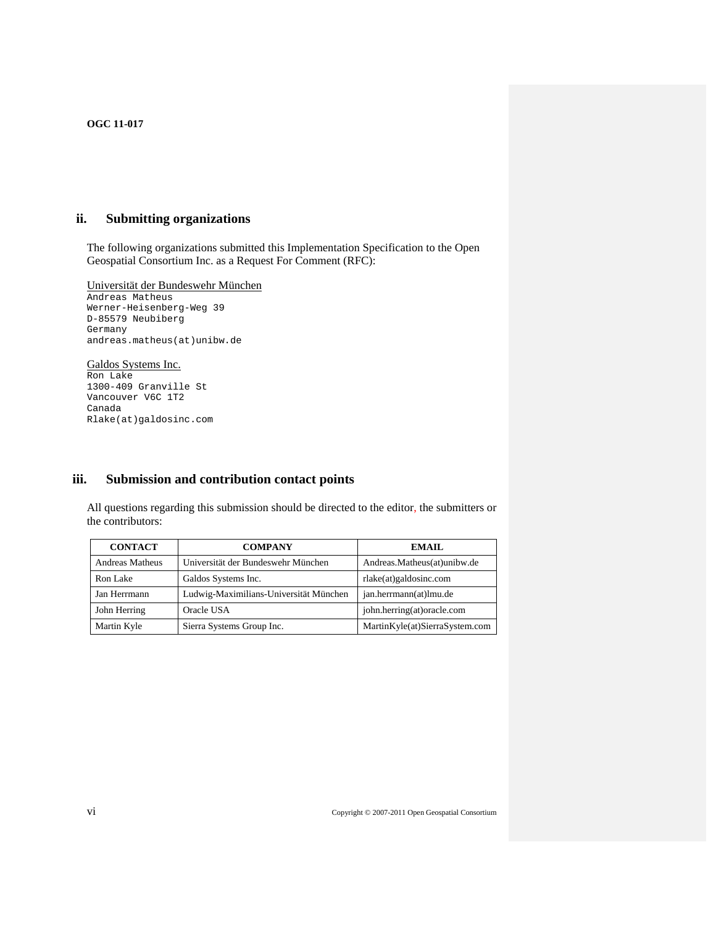# <span id="page-5-1"></span><span id="page-5-0"></span>**ii. Submitting organizations**

The following organizations submitted this Implementation Specification to the Open Geospatial Consortium Inc. as a Request For Comment (RFC):

Universität der Bundeswehr München Andreas Matheus Werner-Heisenberg-Weg 39 D-85579 Neubiberg Germany andreas.matheus(at)unibw.de

# Galdos Systems Inc.

Ron Lake 1300-409 Granville St Vancouver V6C 1T2 Canada Rlake(at)galdosinc.com

# <span id="page-5-2"></span>**iii. Submission and contribution contact points**

All questions regarding this submission should be directed to the editor, the submitters or the contributors:

| <b>CONTACT</b>         | <b>COMPANY</b>                         | EMAIL.                         |
|------------------------|----------------------------------------|--------------------------------|
| <b>Andreas Matheus</b> | Universität der Bundeswehr München     | Andreas.Matheus(at)unibw.de    |
| Ron Lake               | Galdos Systems Inc.                    | rlake(at)galdosinc.com         |
| Jan Herrmann           | Ludwig-Maximilians-Universität München | jan.herrmann(at)lmu.de         |
| John Herring           | Oracle USA                             | john.herring(at)oracle.com     |
| Martin Kyle            | Sierra Systems Group Inc.              | MartinKyle(at)SierraSystem.com |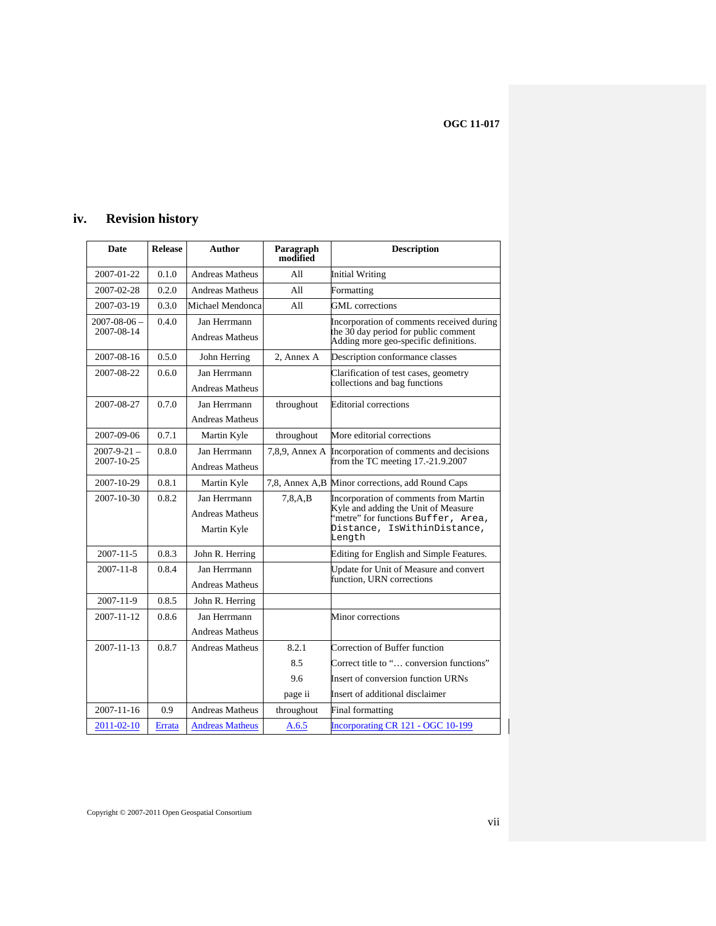# <span id="page-6-1"></span><span id="page-6-0"></span>**iv. Revision history**

| Date                             | <b>Release</b> | Author                                                | Paragraph<br>modified | <b>Description</b>                                                                                                                                           |
|----------------------------------|----------------|-------------------------------------------------------|-----------------------|--------------------------------------------------------------------------------------------------------------------------------------------------------------|
| 2007-01-22                       | 0.1.0          | <b>Andreas Matheus</b>                                | A11                   | <b>Initial Writing</b>                                                                                                                                       |
| 2007-02-28                       | 0.2.0          | <b>Andreas Matheus</b>                                | A11                   | Formatting                                                                                                                                                   |
| 2007-03-19                       | 0.3.0          | Michael Mendonca                                      | All                   | <b>GML</b> corrections                                                                                                                                       |
| $2007 - 08 - 06$ –<br>2007-08-14 | 0.4.0          | Jan Herrmann<br><b>Andreas Matheus</b>                |                       | Incorporation of comments received during<br>the $30$ day period for public comment<br>Adding more geo-specific definitions.                                 |
| 2007-08-16                       | 0.5.0          | John Herring                                          | 2. Annex A            | Description conformance classes                                                                                                                              |
| 2007-08-22                       | 0.6.0          | Jan Herrmann<br><b>Andreas Matheus</b>                |                       | Clarification of test cases, geometry<br>collections and bag functions                                                                                       |
| 2007-08-27                       | 0.7.0          | Jan Herrmann<br><b>Andreas Matheus</b>                | throughout            | <b>Editorial corrections</b>                                                                                                                                 |
| 2007-09-06                       | 0.7.1          | Martin Kyle                                           | throughout            | More editorial corrections                                                                                                                                   |
| 2007-9-21 –<br>2007-10-25        | 0.8.0          | Jan Herrmann<br><b>Andreas Matheus</b>                | 7,8,9, Annex A        | Incorporation of comments and decisions<br>from the TC meeting $17.-21.9.2007$                                                                               |
| 2007-10-29                       | 0.8.1          | Martin Kyle                                           |                       | 7,8, Annex A,B Minor corrections, add Round Caps                                                                                                             |
| 2007-10-30                       | 0.8.2          | Jan Herrmann<br><b>Andreas Matheus</b><br>Martin Kyle | 7, 8, A, B            | Incorporation of comments from Martin<br>Kyle and adding the Unit of Measure<br>'metre" for functions Buffer, Area,<br>Distance, IsWithinDistance,<br>Length |
| $2007 - 11 - 5$                  | 0.8.3          | John R. Herring                                       |                       | Editing for English and Simple Features.                                                                                                                     |
| $2007 - 11 - 8$                  | 0.8.4          | Jan Herrmann<br><b>Andreas Matheus</b>                |                       | Update for Unit of Measure and convert<br>function, URN corrections                                                                                          |
| 2007-11-9                        | 0.8.5          | John R. Herring                                       |                       |                                                                                                                                                              |
| $2007 - 11 - 12$                 | 0.8.6          | Jan Herrmann<br><b>Andreas Matheus</b>                |                       | Minor corrections                                                                                                                                            |
| $2007 - 11 - 13$                 | 0.8.7          | <b>Andreas Matheus</b>                                | 8.2.1                 | Correction of Buffer function                                                                                                                                |
|                                  |                |                                                       | 8.5                   | Correct title to " conversion functions"                                                                                                                     |
|                                  |                |                                                       | 9.6                   | Insert of conversion function URNs                                                                                                                           |
|                                  |                |                                                       | page ii               | Insert of additional disclaimer                                                                                                                              |
| $2007 - 11 - 16$                 | 0.9            | <b>Andreas Matheus</b>                                | throughout            | Final formatting                                                                                                                                             |
| 2011-02-10                       | Errata         | <b>Andreas Matheus</b>                                | A.6.5                 | Incorporating CR 121 - OGC 10-199                                                                                                                            |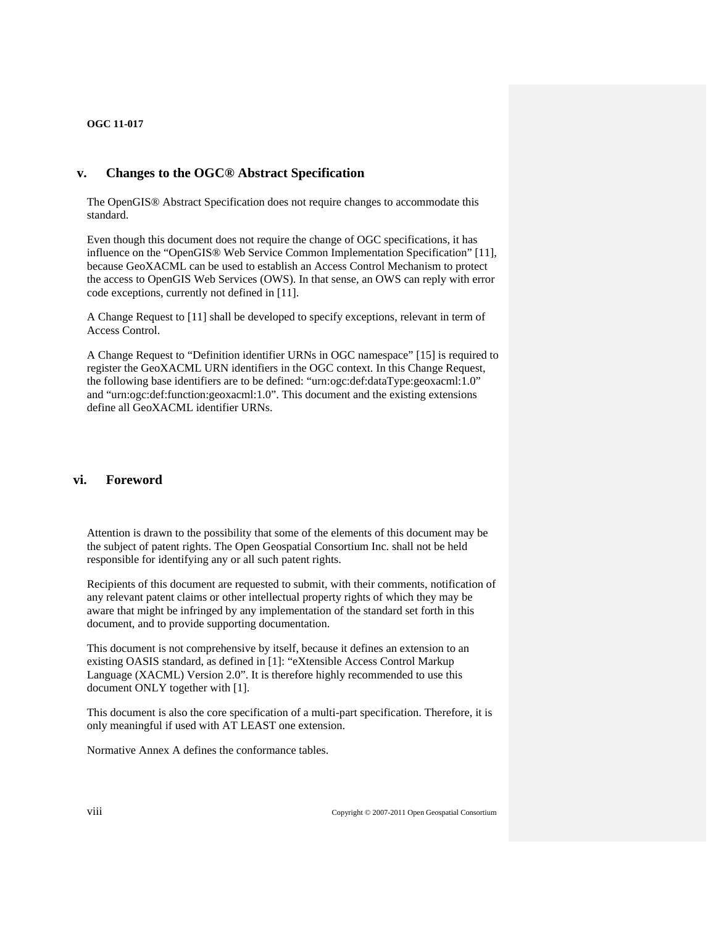# <span id="page-7-1"></span><span id="page-7-0"></span>**v. Changes to the OGC® Abstract Specification**

The OpenGIS® Abstract Specification does not require changes to accommodate this standard.

Even though this document does not require the change of OGC specifications, it has influence on the "OpenGIS® Web Service Common Implementation Specification" [\[11\],](#page-54-1) because GeoXACML can be used to establish an Access Control Mechanism to protect the access to OpenGIS Web Services (OWS). In that sense, an OWS can reply with error code exceptions, currently not defined in [\[11\]](#page-54-1).

A Change Request to [\[11\]](#page-54-1) shall be developed to specify exceptions, relevant in term of Access Control.

A Change Request to "Definition identifier URNs in OGC namespace" [\[15\]](#page-54-2) is required to register the GeoXACML URN identifiers in the OGC context. In this Change Request, the following base identifiers are to be defined: "urn:ogc:def:dataType:geoxacml:1.0" and "urn:ogc:def:function:geoxacml:1.0". This document and the existing extensions define all GeoXACML identifier URNs.

# <span id="page-7-2"></span>**vi. Foreword**

Attention is drawn to the possibility that some of the elements of this document may be the subject of patent rights. The Open Geospatial Consortium Inc. shall not be held responsible for identifying any or all such patent rights.

Recipients of this document are requested to submit, with their comments, notification of any relevant patent claims or other intellectual property rights of which they may be aware that might be infringed by any implementation of the standard set forth in this document, and to provide supporting documentation.

This document is not comprehensive by itself, because it defines an extension to an existing OASIS standard, as defined in [\[1\]:](#page-11-2) "eXtensible Access Control Markup Language (XACML) Version 2.0". It is therefore highly recommended to use this document ONLY together with [\[1\]](#page-11-2).

This document is also the core specification of a multi-part specification. Therefore, it is only meaningful if used with AT LEAST one extension.

Normative Annex A defines the conformance tables.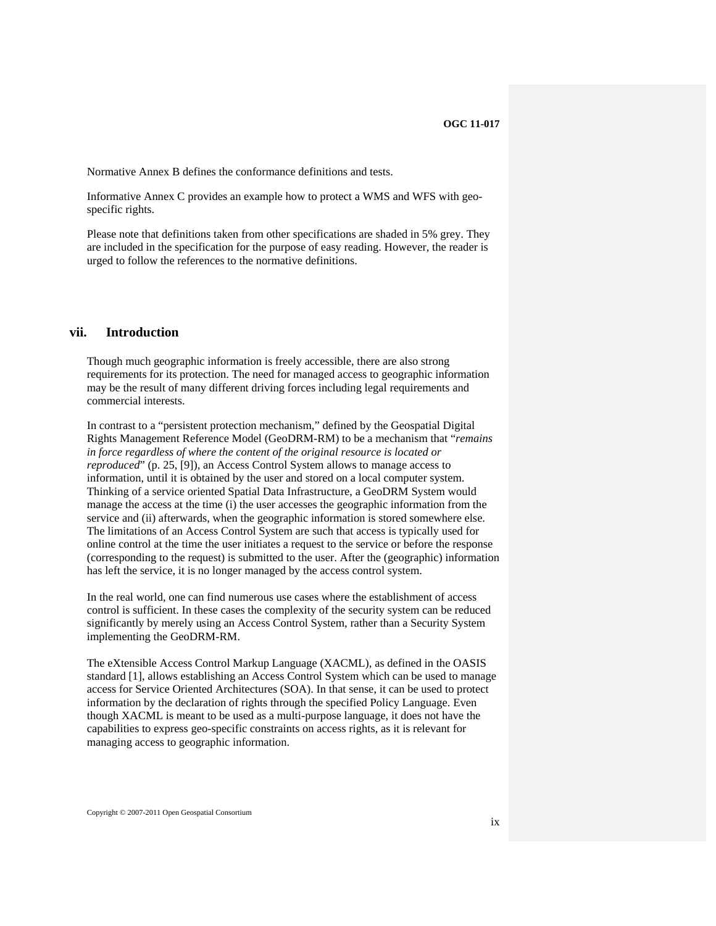<span id="page-8-0"></span>Normative Annex B defines the conformance definitions and tests.

Informative Annex C provides an example how to protect a WMS and WFS with geospecific rights.

Please note that definitions taken from other specifications are shaded in 5% grey. They are included in the specification for the purpose of easy reading. However, the reader is urged to follow the references to the normative definitions.

# <span id="page-8-1"></span>**vii. Introduction**

Though much geographic information is freely accessible, there are also strong requirements for its protection. The need for managed access to geographic information may be the result of many different driving forces including legal requirements and commercial interests.

In contrast to a "persistent protection mechanism," defined by the Geospatial Digital Rights Management Reference Model (GeoDRM-RM) to be a mechanism that "*remains in force regardless of where the content of the original resource is located or reproduced*" (p. 25, [\[9\]\)](#page-54-0), an Access Control System allows to manage access to information, until it is obtained by the user and stored on a local computer system. Thinking of a service oriented Spatial Data Infrastructure, a GeoDRM System would manage the access at the time (i) the user accesses the geographic information from the service and (ii) afterwards, when the geographic information is stored somewhere else. The limitations of an Access Control System are such that access is typically used for online control at the time the user initiates a request to the service or before the response (corresponding to the request) is submitted to the user. After the (geographic) information has left the service, it is no longer managed by the access control system.

In the real world, one can find numerous use cases where the establishment of access control is sufficient. In these cases the complexity of the security system can be reduced significantly by merely using an Access Control System, rather than a Security System implementing the GeoDRM-RM.

The eXtensible Access Control Markup Language (XACML), as defined in the OASIS standard [\[1\]](#page-11-2), allows establishing an Access Control System which can be used to manage access for Service Oriented Architectures (SOA). In that sense, it can be used to protect information by the declaration of rights through the specified Policy Language. Even though XACML is meant to be used as a multi-purpose language, it does not have the capabilities to express geo-specific constraints on access rights, as it is relevant for managing access to geographic information.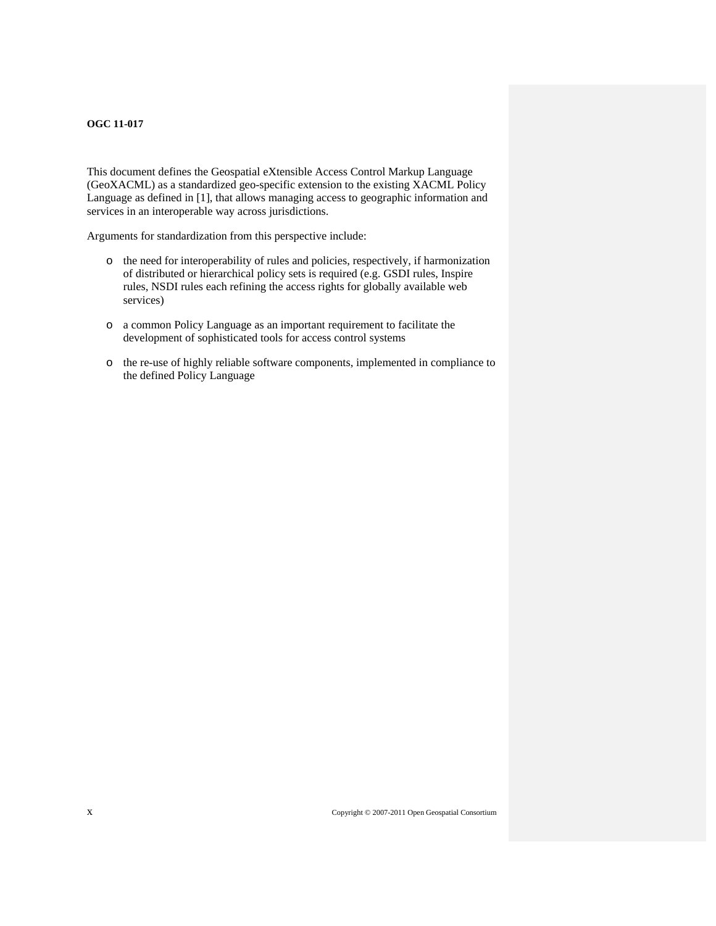This document defines the Geospatial eXtensible Access Control Markup Language (GeoXACML) as a standardized geo-specific extension to the existing XACML Policy Language as defined in [\[1\],](#page-11-2) that allows managing access to geographic information and services in an interoperable way across jurisdictions.

Arguments for standardization from this perspective include:

- o the need for interoperability of rules and policies, respectively, if harmonization of distributed or hierarchical policy sets is required (e.g. GSDI rules, Inspire rules, NSDI rules each refining the access rights for globally available web services)
- o a common Policy Language as an important requirement to facilitate the development of sophisticated tools for access control systems
- o the re-use of highly reliable software components, implemented in compliance to the defined Policy Language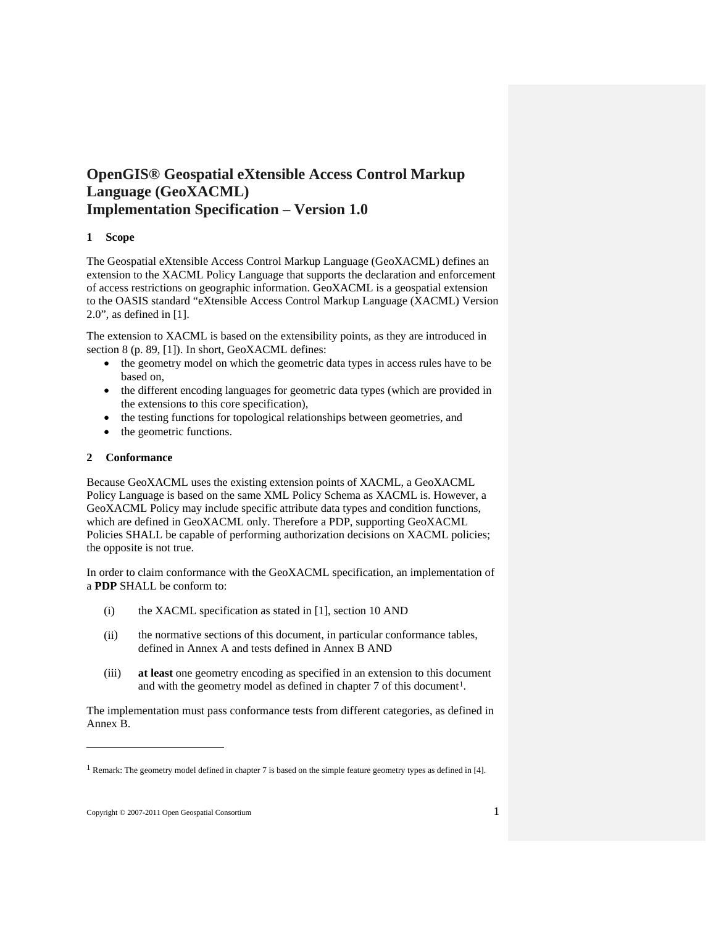# <span id="page-10-1"></span><span id="page-10-0"></span>**OpenGIS® Geospatial eXtensible Access Control Markup Language (GeoXACML) Implementation Specification – Version 1.0**

# **1 Scope**

The Geospatial eXtensible Access Control Markup Language (GeoXACML) defines an extension to the XACML Policy Language that supports the declaration and enforcement of access restrictions on geographic information. GeoXACML is a geospatial extension to the OASIS standard "eXtensible Access Control Markup Language (XACML) Version 2.0", as defined in [\[1\].](#page-11-2)

The extension to XACML is based on the extensibility points, as they are introduced in section 8 (p. 89, [\[1\]\)](#page-11-2). In short, GeoXACML defines:

- the geometry model on which the geometric data types in access rules have to be based on,
- the different encoding languages for geometric data types (which are provided in the extensions to this core specification),
- the testing functions for topological relationships between geometries, and
- the geometric functions.

# <span id="page-10-2"></span>**2 Conformance**

Because GeoXACML uses the existing extension points of XACML, a GeoXACML Policy Language is based on the same XML Policy Schema as XACML is. However, a GeoXACML Policy may include specific attribute data types and condition functions, which are defined in GeoXACML only. Therefore a PDP, supporting GeoXACML Policies SHALL be capable of performing authorization decisions on XACML policies; the opposite is not true.

In order to claim conformance with the GeoXACML specification, an implementation of a **PDP** SHALL be conform to:

- (i) the XACML specification as stated in [\[1\]](#page-11-2), section 10 AND
- (ii) the normative sections of this document, in particular conformance tables, defined in Annex A and tests defined in Annex B AND
- (iii) **at least** one geometry encoding as specified in an extension to this document and with the geometry model as defined in chapter 7 of this document<sup>[1](#page-10-3)</sup>.

The implementation must pass conformance tests from different categories, as defined in Annex B.

 $\overline{a}$ 

<span id="page-10-3"></span><sup>&</sup>lt;sup>1</sup> Remark: The geometry model defined in chapter 7 is based on the simple feature geometry types as defined in [4].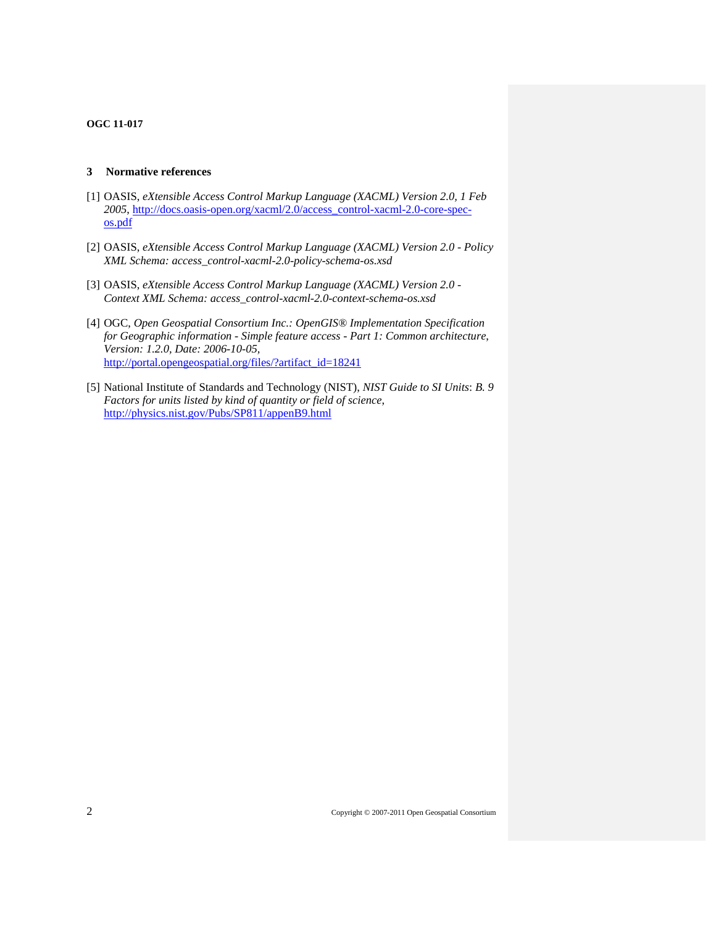#### <span id="page-11-2"></span><span id="page-11-0"></span>**3 Normative references**

- <span id="page-11-3"></span>[1] OASIS, *eXtensible Access Control Markup Language (XACML) Version 2.0, 1 Feb 2005*, [http://docs.oasis-open.org/xacml/2.0/access\\_control-xacml-2.0-core-spec](http://docs.oasis-open.org/xacml/2.0/access_control-xacml-2.0-core-spec-os.pdf)[os.pdf](http://docs.oasis-open.org/xacml/2.0/access_control-xacml-2.0-core-spec-os.pdf)
- [2] OASIS, *eXtensible Access Control Markup Language (XACML) Version 2.0 Policy XML Schema: access\_control-xacml-2.0-policy-schema-os.xsd*
- <span id="page-11-4"></span>[3] OASIS, *eXtensible Access Control Markup Language (XACML) Version 2.0 - Context XML Schema: access\_control-xacml-2.0-context-schema-os.xsd*
- [4] OGC, *Open Geospatial Consortium Inc.: OpenGIS® Implementation Specification for Geographic information - Simple feature access - Part 1: Common architecture*, *Version: 1.2.0, Date: 2006-10-05,* [http://portal.opengeospatial.org/files/?artifact\\_id=18241](http://portal.opengeospatial.org/files/?artifact_id=18241)
- <span id="page-11-5"></span><span id="page-11-1"></span>[5] National Institute of Standards and Technology (NIST), *NIST Guide to SI Units*: *B. 9 Factors for units listed by kind of quantity or field of science*, <http://physics.nist.gov/Pubs/SP811/appenB9.html>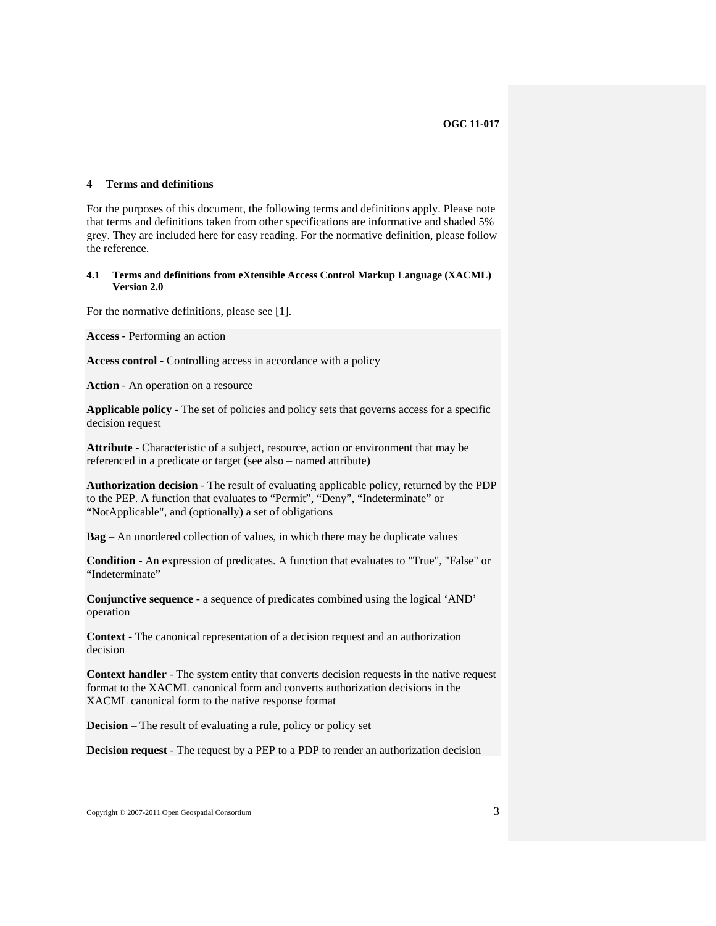#### <span id="page-12-1"></span><span id="page-12-0"></span>**4 Terms and definitions**

<span id="page-12-2"></span>For the purposes of this document, the following terms and definitions apply. Please note that terms and definitions taken from other specifications are informative and shaded 5% grey. They are included here for easy reading. For the normative definition, please follow the reference.

#### **4.1 Terms and definitions from eXtensible Access Control Markup Language (XACML) Version 2.0**

For the normative definitions, please see [\[1\].](#page-11-2)

**Access** - Performing an action

**Access control** - Controlling access in accordance with a policy

**Action** - An operation on a resource

**Applicable policy** - The set of policies and policy sets that governs access for a specific decision request

**Attribute** - Characteristic of a subject, resource, action or environment that may be referenced in a predicate or target (see also – named attribute)

**Authorization decision** - The result of evaluating applicable policy, returned by the PDP to the PEP. A function that evaluates to "Permit", "Deny", "Indeterminate" or "NotApplicable", and (optionally) a set of obligations

**Bag** – An unordered collection of values, in which there may be duplicate values

**Condition** - An expression of predicates. A function that evaluates to "True", "False" or "Indeterminate"

**Conjunctive sequence** - a sequence of predicates combined using the logical 'AND' operation

**Context** - The canonical representation of a decision request and an authorization decision

**Context handler** - The system entity that converts decision requests in the native request format to the XACML canonical form and converts authorization decisions in the XACML canonical form to the native response format

**Decision** – The result of evaluating a rule, policy or policy set

**Decision request** - The request by a PEP to a PDP to render an authorization decision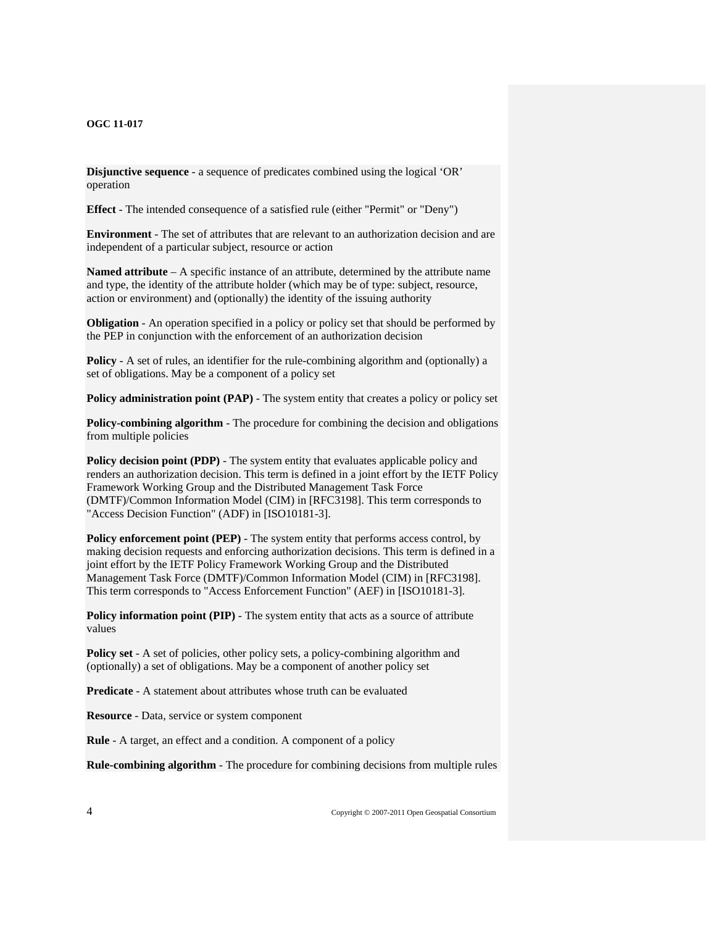**Disjunctive sequence** - a sequence of predicates combined using the logical 'OR' operation

**Effect** - The intended consequence of a satisfied rule (either "Permit" or "Deny")

**Environment** - The set of attributes that are relevant to an authorization decision and are independent of a particular subject, resource or action

**Named attribute** – A specific instance of an attribute, determined by the attribute name and type, the identity of the attribute holder (which may be of type: subject, resource, action or environment) and (optionally) the identity of the issuing authority

**Obligation** - An operation specified in a policy or policy set that should be performed by the PEP in conjunction with the enforcement of an authorization decision

**Policy** - A set of rules, an identifier for the rule-combining algorithm and (optionally) a set of obligations. May be a component of a policy set

**Policy administration point (PAP)** - The system entity that creates a policy or policy set

**Policy-combining algorithm** - The procedure for combining the decision and obligations from multiple policies

**Policy decision point (PDP)** - The system entity that evaluates applicable policy and renders an authorization decision. This term is defined in a joint effort by the IETF Policy Framework Working Group and the Distributed Management Task Force (DMTF)/Common Information Model (CIM) in [RFC3198]. This term corresponds to "Access Decision Function" (ADF) in [ISO10181-3].

**Policy enforcement point (PEP)** - The system entity that performs access control, by making decision requests and enforcing authorization decisions. This term is defined in a joint effort by the IETF Policy Framework Working Group and the Distributed Management Task Force (DMTF)/Common Information Model (CIM) in [RFC3198]. This term corresponds to "Access Enforcement Function" (AEF) in [ISO10181-3].

**Policy information point (PIP)** - The system entity that acts as a source of attribute values

**Policy set** - A set of policies, other policy sets, a policy-combining algorithm and (optionally) a set of obligations. May be a component of another policy set

**Predicate** - A statement about attributes whose truth can be evaluated

**Resource** - Data, service or system component

**Rule** - A target, an effect and a condition. A component of a policy

**Rule-combining algorithm** - The procedure for combining decisions from multiple rules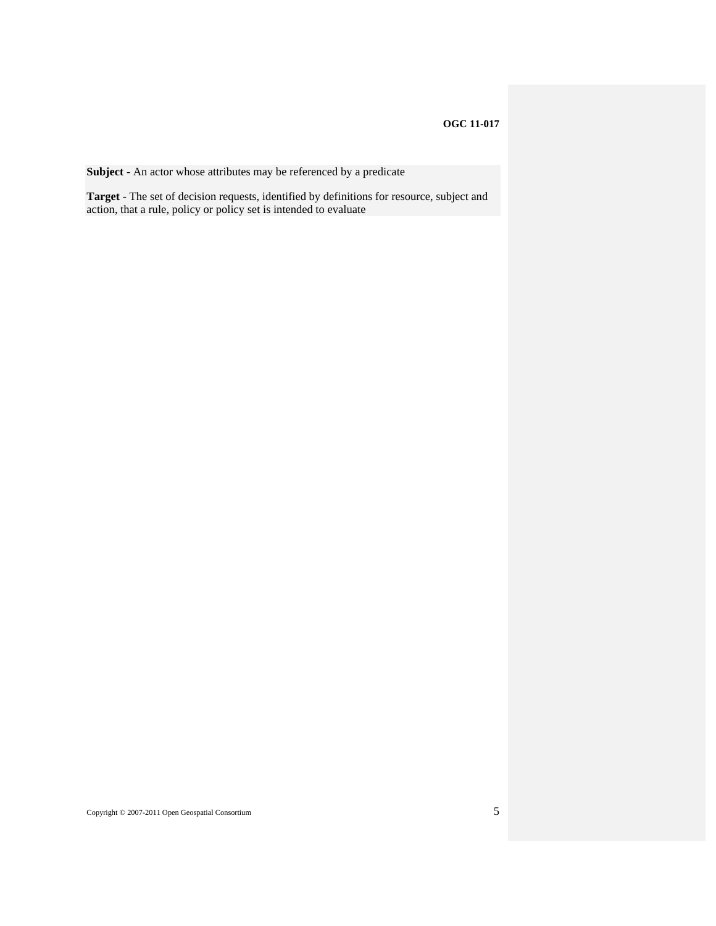**Subject** - An actor whose attributes may be referenced by a predicate

**Target** - The set of decision requests, identified by definitions for resource, subject and action, that a rule, policy or policy set is intended to evaluate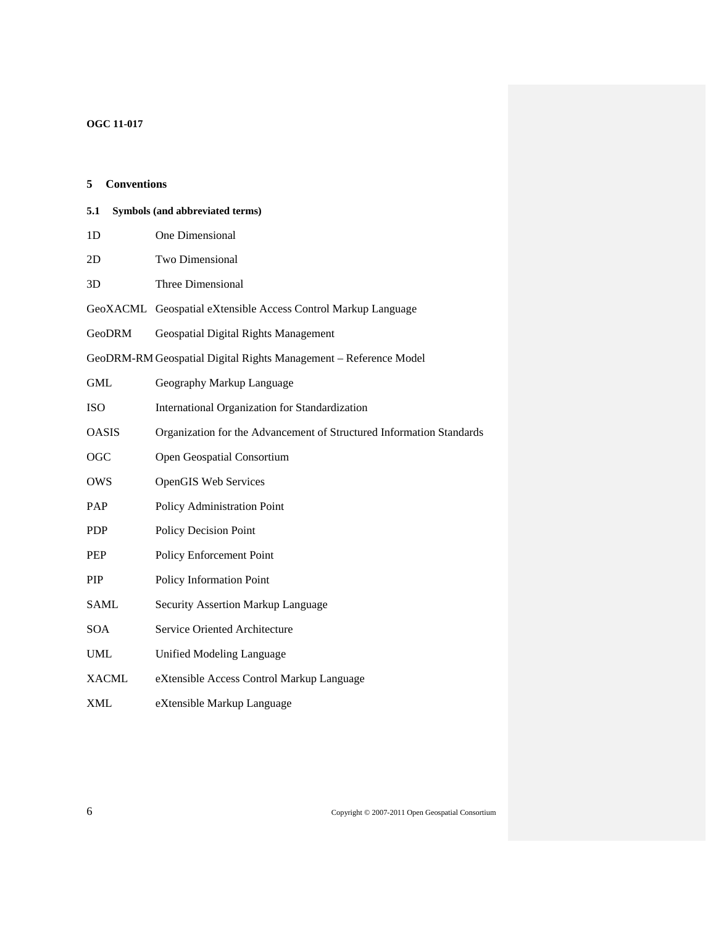<span id="page-15-2"></span><span id="page-15-1"></span><span id="page-15-0"></span>

| <b>Conventions</b><br>5 |                                                                      |
|-------------------------|----------------------------------------------------------------------|
| 5.1                     | Symbols (and abbreviated terms)                                      |
| 1 <sub>D</sub>          | One Dimensional                                                      |
| 2D                      | Two Dimensional                                                      |
| 3D                      | Three Dimensional                                                    |
|                         | GeoXACML Geospatial eXtensible Access Control Markup Language        |
| GeoDRM                  | Geospatial Digital Rights Management                                 |
|                         | GeoDRM-RM Geospatial Digital Rights Management - Reference Model     |
| <b>GML</b>              | Geography Markup Language                                            |
| <b>ISO</b>              | International Organization for Standardization                       |
| <b>OASIS</b>            | Organization for the Advancement of Structured Information Standards |
| <b>OGC</b>              | Open Geospatial Consortium                                           |
| <b>OWS</b>              | <b>OpenGIS Web Services</b>                                          |
| PAP                     | Policy Administration Point                                          |
| <b>PDP</b>              | Policy Decision Point                                                |
| <b>PEP</b>              | Policy Enforcement Point                                             |
| <b>PIP</b>              | Policy Information Point                                             |
| <b>SAML</b>             | Security Assertion Markup Language                                   |
| <b>SOA</b>              | Service Oriented Architecture                                        |
| UML                     | Unified Modeling Language                                            |
| <b>XACML</b>            | eXtensible Access Control Markup Language                            |
| <b>XML</b>              | eXtensible Markup Language                                           |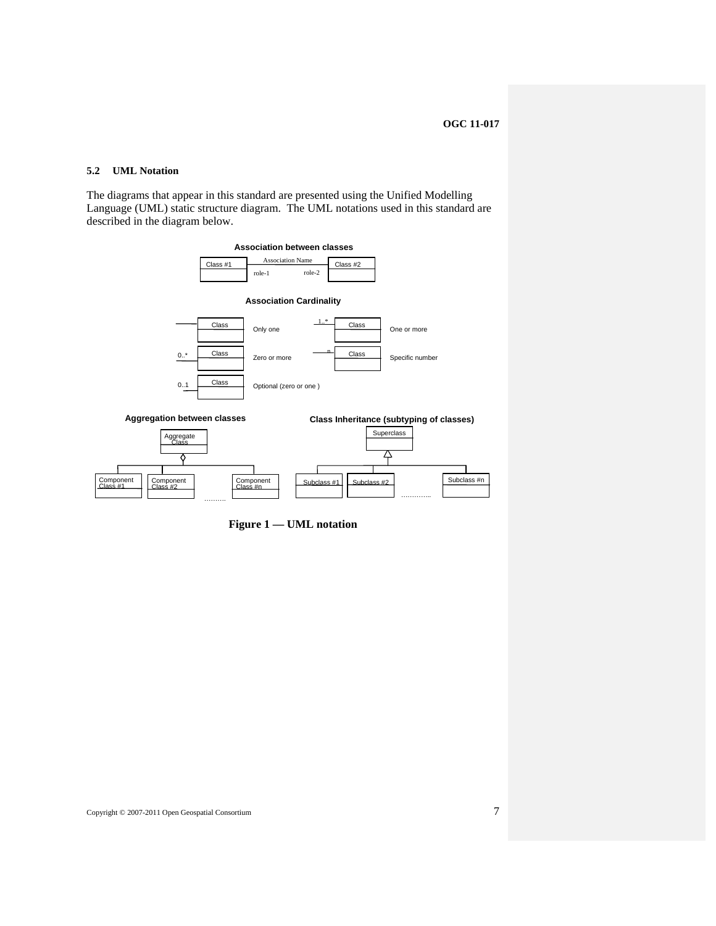# <span id="page-16-1"></span><span id="page-16-0"></span>**5.2 UML Notation**

The diagrams that appear in this standard are presented using the Unified Modelling Language (UML) static structure diagram. The UML notations used in this standard are described in the diagram below.



**Figure 1 — UML notation**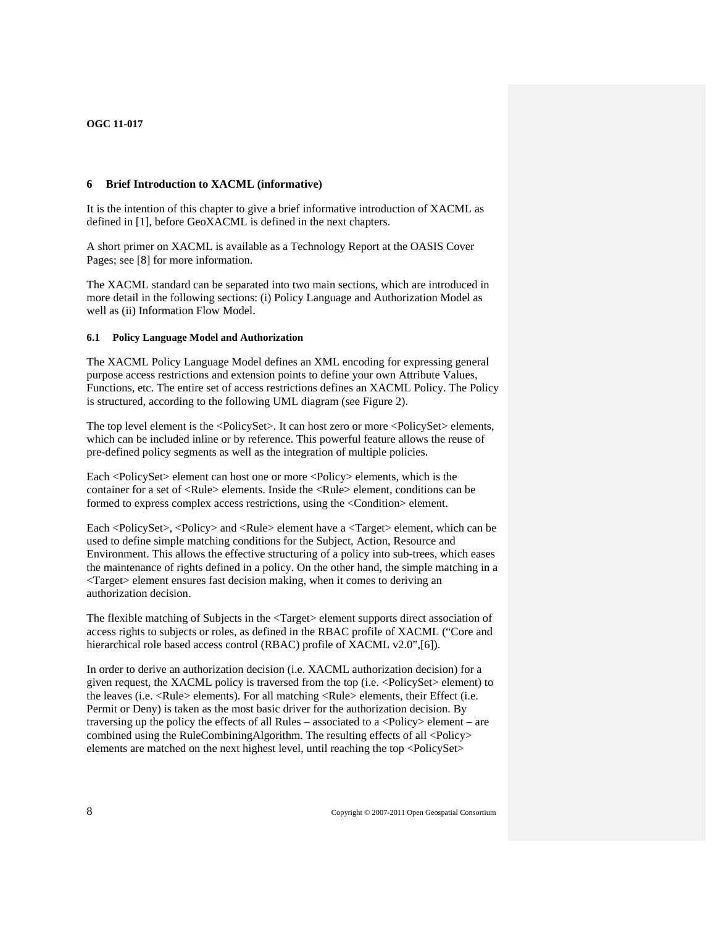#### <span id="page-17-1"></span><span id="page-17-0"></span>**6 Brief Introduction to XACML (informative)**

It is the intention of this chapter to give a brief informative introduction of XACML as defined in [\[1\],](#page-11-2) before GeoXACML is defined in the next chapters.

A short primer on XACML is available as a Technology Report at the OASIS Cover Pages; see [\[8\]](#page-54-3) for more information.

<span id="page-17-2"></span>The XACML standard can be separated into two main sections, which are introduced in more detail in the following sections: (i) Policy Language and Authorization Model as well as (ii) Information Flow Model.

#### **6.1 Policy Language Model and Authorization**

The XACML Policy Language Model defines an XML encoding for expressing general purpose access restrictions and extension points to define your own Attribute Values, Functions, etc. The entire set of access restrictions defines an XACML Policy. The Policy is structured, according to the following UML diagram (see Figure 2).

The top level element is the <PolicySet>. It can host zero or more <PolicySet> elements, which can be included inline or by reference. This powerful feature allows the reuse of pre-defined policy segments as well as the integration of multiple policies.

Each <PolicySet> element can host one or more <Policy> elements, which is the container for a set of <Rule> elements. Inside the <Rule> element, conditions can be formed to express complex access restrictions, using the <Condition> element.

Each <PolicySet>, <Policy> and <Rule> element have a <Target> element, which can be used to define simple matching conditions for the Subject, Action, Resource and Environment. This allows the effective structuring of a policy into sub-trees, which eases the maintenance of rights defined in a policy. On the other hand, the simple matching in a  $\langle$ Target $\rangle$  element ensures fast decision making, when it comes to deriving an authorization decision.

The flexible matching of Subjects in the <Target> element supports direct association of access rights to subjects or roles, as defined in the RBAC profile of XACML ("Core and hierarchical role based access control (RBAC) profile of XACML v2.0", [\[6\]](#page-54-4)).

In order to derive an authorization decision (i.e. XACML authorization decision) for a given request, the XACML policy is traversed from the top (i.e. <PolicySet> element) to the leaves (i.e. <Rule> elements). For all matching <Rule> elements, their Effect (i.e. Permit or Deny) is taken as the most basic driver for the authorization decision. By traversing up the policy the effects of all Rules – associated to a  $\langle$ Policy $\rangle$  element – are combined using the RuleCombiningAlgorithm. The resulting effects of all <Policy> elements are matched on the next highest level, until reaching the top <PolicySet>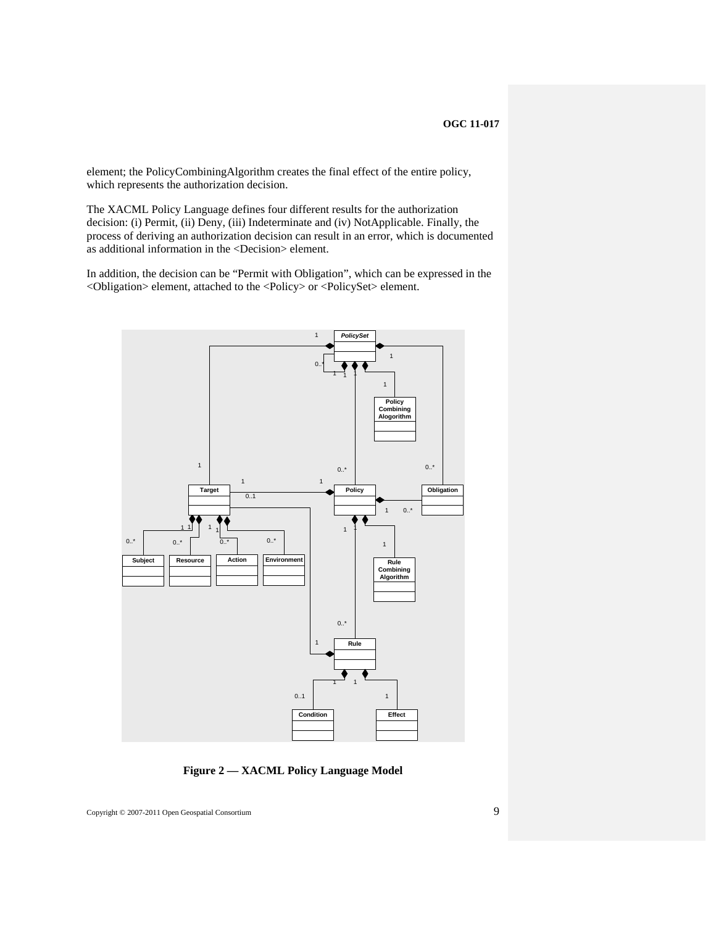element; the PolicyCombiningAlgorithm creates the final effect of the entire policy, which represents the authorization decision.

The XACML Policy Language defines four different results for the authorization decision: (i) Permit, (ii) Deny, (iii) Indeterminate and (iv) NotApplicable. Finally, the process of deriving an authorization decision can result in an error, which is documented as additional information in the <Decision> element.

In addition, the decision can be "Permit with Obligation", which can be expressed in the <Obligation> element, attached to the <Policy> or <PolicySet> element.



**Figure 2 — XACML Policy Language Model**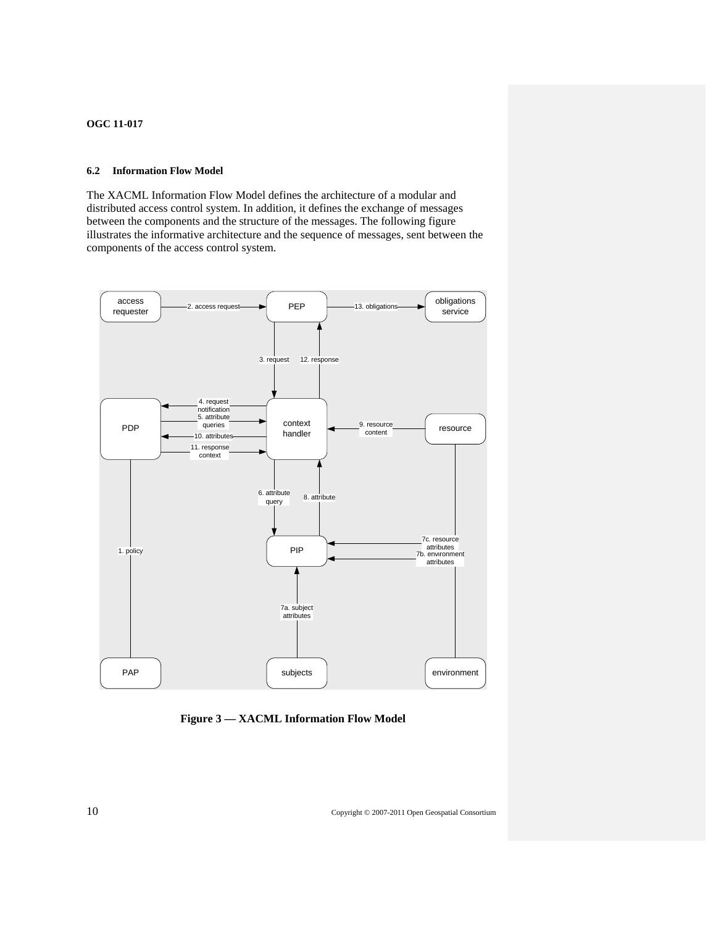# <span id="page-19-1"></span><span id="page-19-0"></span>**6.2 Information Flow Model**

The XACML Information Flow Model defines the architecture of a modular and distributed access control system. In addition, it defines the exchange of messages between the components and the structure of the messages. The following figure illustrates the informative architecture and the sequence of messages, sent between the components of the access control system.



**Figure 3 — XACML Information Flow Model**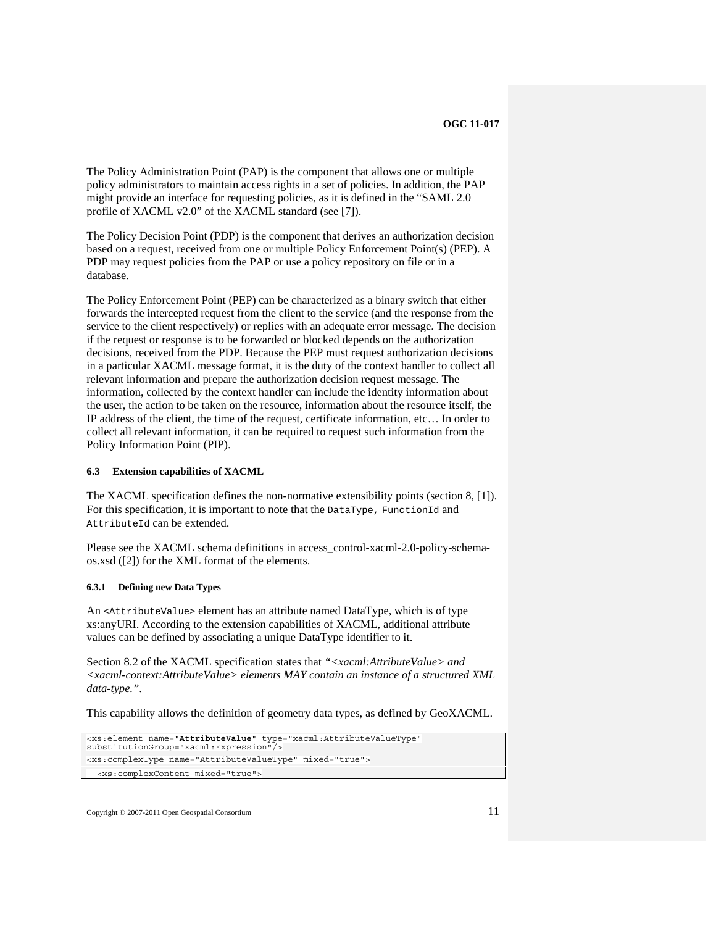<span id="page-20-0"></span>The Policy Administration Point (PAP) is the component that allows one or multiple policy administrators to maintain access rights in a set of policies. In addition, the PAP might provide an interface for requesting policies, as it is defined in the "SAML 2.0 profile of XACML v2.0" of the XACML standard (see [\[7\]](#page-54-5)).

The Policy Decision Point (PDP) is the component that derives an authorization decision based on a request, received from one or multiple Policy Enforcement Point(s) (PEP). A PDP may request policies from the PAP or use a policy repository on file or in a database.

The Policy Enforcement Point (PEP) can be characterized as a binary switch that either forwards the intercepted request from the client to the service (and the response from the service to the client respectively) or replies with an adequate error message. The decision if the request or response is to be forwarded or blocked depends on the authorization decisions, received from the PDP. Because the PEP must request authorization decisions in a particular XACML message format, it is the duty of the context handler to collect all relevant information and prepare the authorization decision request message. The information, collected by the context handler can include the identity information about the user, the action to be taken on the resource, information about the resource itself, the IP address of the client, the time of the request, certificate information, etc… In order to collect all relevant information, it can be required to request such information from the Policy Information Point (PIP).

#### <span id="page-20-1"></span>**6.3 Extension capabilities of XACML**

The XACML specification defines the non-normative extensibility points (section 8, [\[1\]](#page-11-2)). For this specification, it is important to note that the DataType, FunctionId and AttributeId can be extended.

Please see the XACML schema definitions in access\_control-xacml-2.0-policy-schemaos.xsd ([\[2\]\)](#page-11-3) for the XML format of the elements.

#### **6.3.1 Defining new Data Types**

<span id="page-20-2"></span>An <AttributeValue> element has an attribute named DataType, which is of type xs:anyURI. According to the extension capabilities of XACML, additional attribute values can be defined by associating a unique DataType identifier to it.

Section 8.2 of the XACML specification states that *"<xacml:AttributeValue> and <xacml-context:AttributeValue> elements MAY contain an instance of a structured XML data-type."*.

This capability allows the definition of geometry data types, as defined by GeoXACML.

```
<xs:element name="AttributeValue" type="xacml:AttributeValueType" 
substitutionGroup="xacml:Expression"/> 
<xs:complexType name="AttributeValueType" mixed="true"> 
   <xs:complexContent mixed="true">
```
Copyright © 2007-2011 Open Geospatial Consortium 11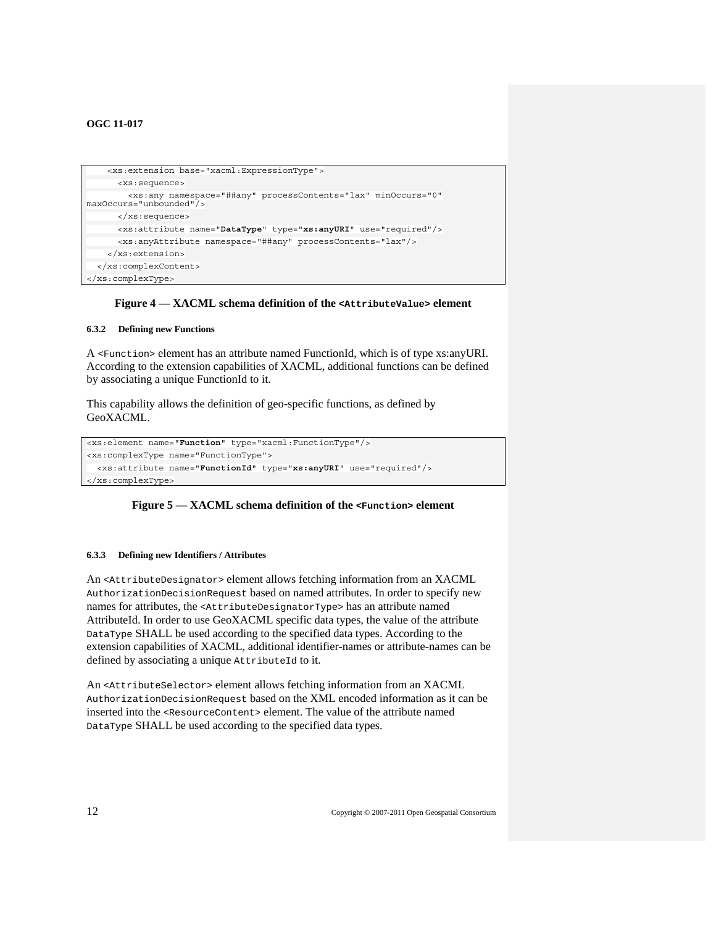```
 <xs:extension base="xacml:ExpressionType"> 
       <xs:sequence> 
         <xs:any namespace="##any" processContents="lax" minOccurs="0" 
maxOccurs="unbounded"/> 
       </xs:sequence> 
       <xs:attribute name="DataType" type="xs:anyURI" use="required"/> 
       <xs:anyAttribute namespace="##any" processContents="lax"/> 
     </xs:extension> 
   </xs:complexContent> 
</xs:complexType>
```
#### **Figure 4 — XACML schema definition of the <AttributeValue> element**

#### <span id="page-21-1"></span>**6.3.2 Defining new Functions**

A <Function> element has an attribute named FunctionId, which is of type xs:anyURI. According to the extension capabilities of XACML, additional functions can be defined by associating a unique FunctionId to it.

This capability allows the definition of geo-specific functions, as defined by GeoXACML.

```
<xs:element name="Function" type="xacml:FunctionType"/> 
<xs:complexType name="FunctionType"> 
   <xs:attribute name="FunctionId" type="xs:anyURI" use="required"/> 
 </xs:complexType>
```
#### **Figure 5 — XACML schema definition of the <Function> element**

#### **6.3.3 Defining new Identifiers / Attributes**

<span id="page-21-2"></span>An <AttributeDesignator> element allows fetching information from an XACML AuthorizationDecisionRequest based on named attributes. In order to specify new names for attributes, the <AttributeDesignatorType> has an attribute named AttributeId. In order to use GeoXACML specific data types, the value of the attribute DataType SHALL be used according to the specified data types. According to the extension capabilities of XACML, additional identifier-names or attribute-names can be defined by associating a unique AttributeId to it.

An <AttributeSelector> element allows fetching information from an XACML AuthorizationDecisionRequest based on the XML encoded information as it can be inserted into the <ResourceContent> element. The value of the attribute named DataType SHALL be used according to the specified data types.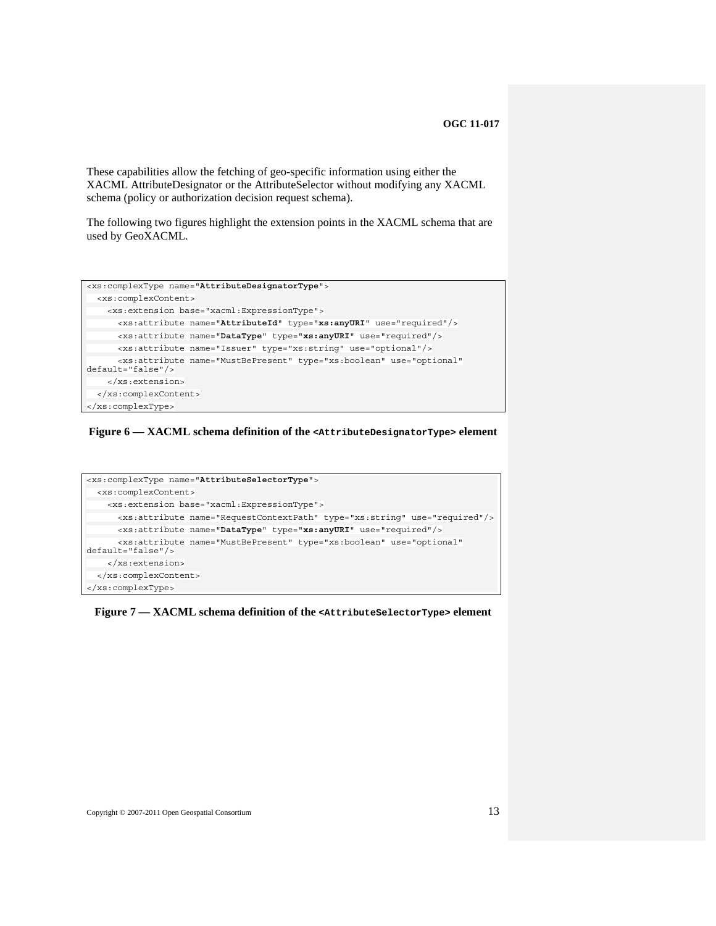These capabilities allow the fetching of geo-specific information using either the XACML AttributeDesignator or the AttributeSelector without modifying any XACML schema (policy or authorization decision request schema).

The following two figures highlight the extension points in the XACML schema that are used by GeoXACML.

```
<xs:complexType name="AttributeDesignatorType"> 
  <xs:complexContent> 
    <xs:extension base="xacml:ExpressionType"> 
       <xs:attribute name="AttributeId" type="xs:anyURI" use="required"/> 
       <xs:attribute name="DataType" type="xs:anyURI" use="required"/> 
       <xs:attribute name="Issuer" type="xs:string" use="optional"/> 
       <xs:attribute name="MustBePresent" type="xs:boolean" use="optional" 
default="false"/> 
     </xs:extension> 
   </xs:complexContent> 
</xs:complexType>
```
#### **Figure 6 — XACML schema definition of the <AttributeDesignatorType> element**



**Figure 7 — XACML schema definition of the <AttributeSelectorType> element**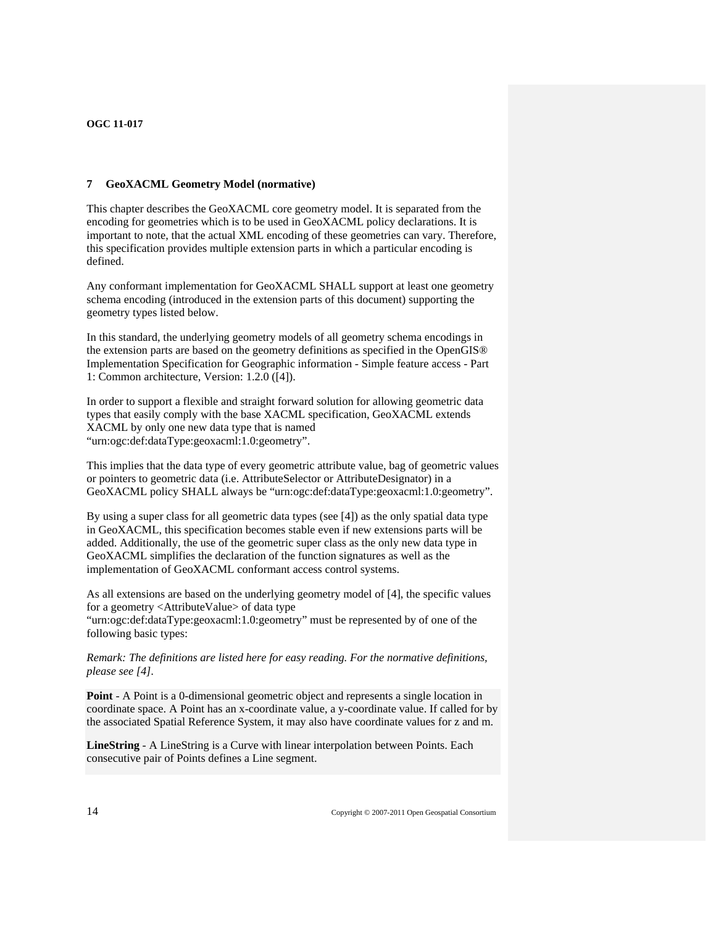### <span id="page-23-1"></span><span id="page-23-0"></span>**7 GeoXACML Geometry Model (normative)**

This chapter describes the GeoXACML core geometry model. It is separated from the encoding for geometries which is to be used in GeoXACML policy declarations. It is important to note, that the actual XML encoding of these geometries can vary. Therefore, this specification provides multiple extension parts in which a particular encoding is defined.

Any conformant implementation for GeoXACML SHALL support at least one geometry schema encoding (introduced in the extension parts of this document) supporting the geometry types listed below.

In this standard, the underlying geometry models of all geometry schema encodings in the extension parts are based on the geometry definitions as specified in the OpenGIS® Implementation Specification for Geographic information - Simple feature access - Part 1: Common architecture, Version: 1.2.0 ([\[4\]](#page-11-4)).

In order to support a flexible and straight forward solution for allowing geometric data types that easily comply with the base XACML specification, GeoXACML extends XACML by only one new data type that is named ["urn:ogc:def:dataType:geoxacml:1.0:geometry](#page-34-3)".

This implies that the data type of every geometric attribute value, bag of geometric values or pointers to geometric data (i.e. AttributeSelector or AttributeDesignator) in a GeoXACML policy SHALL always be ["urn:ogc:def:dataType:geoxacml:1.0:geometry"](#page-34-3).

By using a super class for all geometric data types (see [\[4\]](#page-11-4)) as the only spatial data type in GeoXACML, this specification becomes stable even if new extensions parts will be added. Additionally, the use of the geometric super class as the only new data type in GeoXACML simplifies the declaration of the function signatures as well as the implementation of GeoXACML conformant access control systems.

As all extensions are based on the underlying geometry model of [4], the specific values for a geometry <AttributeValue> of data type

["urn:ogc:def:dataType:geoxacml:1.0:geometry](#page-34-3)" must be represented by of one of the following basic types:

*Remark: The definitions are listed here for easy reading. For the normative definitions, please see [\[4\]](#page-11-4).* 

**Point** - A Point is a 0-dimensional geometric object and represents a single location in coordinate space. A Point has an x-coordinate value, a y-coordinate value. If called for by the associated Spatial Reference System, it may also have coordinate values for z and m.

**LineString** - A LineString is a Curve with linear interpolation between Points. Each consecutive pair of Points defines a Line segment.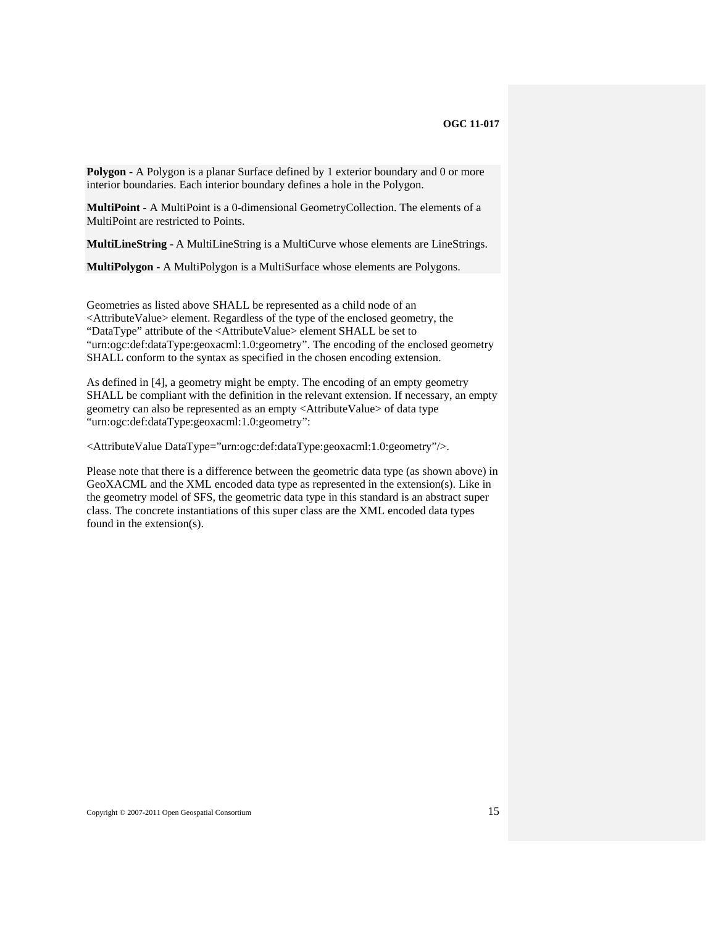**Polygon** - A Polygon is a planar Surface defined by 1 exterior boundary and 0 or more interior boundaries. Each interior boundary defines a hole in the Polygon.

**MultiPoint** - A MultiPoint is a 0-dimensional GeometryCollection. The elements of a MultiPoint are restricted to Points.

**MultiLineString -** A MultiLineString is a MultiCurve whose elements are LineStrings.

**MultiPolygon -** A MultiPolygon is a MultiSurface whose elements are Polygons.

Geometries as listed above SHALL be represented as a child node of an <AttributeValue> element. Regardless of the type of the enclosed geometry, the "DataType" attribute of the <AttributeValue> element SHALL be set to ["urn:ogc:def:dataType:geoxacml:1.0:geometry](#page-34-3)". The encoding of the enclosed geometry SHALL conform to the syntax as specified in the chosen encoding extension.

As defined in [\[4\],](#page-11-4) a geometry might be empty. The encoding of an empty geometry SHALL be compliant with the definition in the relevant extension. If necessary, an empty geometry can also be represented as an empty <AttributeValue> of data type ["urn:ogc:def:dataType:geoxacml:1.0:geometry](#page-34-3)":

<AttributeValue DataType=["urn:ogc:def:dataType:geoxacml:1.0:geometry](#page-34-3)"/>.

Please note that there is a difference between the geometric data type (as shown above) in GeoXACML and the XML encoded data type as represented in the extension(s). Like in the geometry model of SFS, the geometric data type in this standard is an abstract super class. The concrete instantiations of this super class are the XML encoded data types found in the extension(s).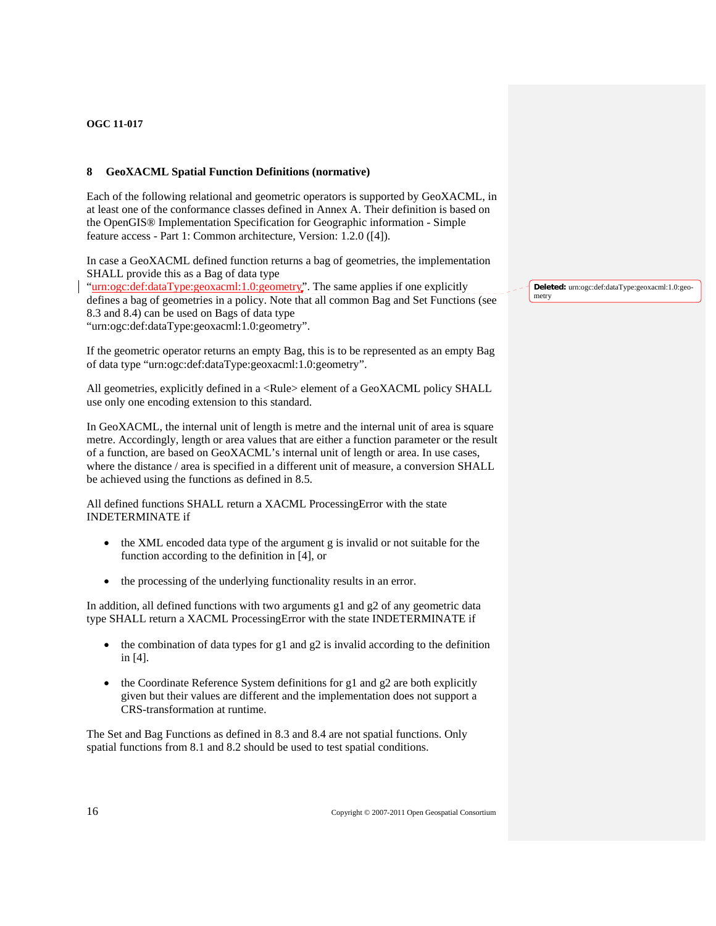# **8 GeoXACML Spatial Function Definitions (normative)**

Each of the following relational and geometric operators is supported by GeoXACML, in at least one of the conformance classes defined in Annex A. Their definition is based on the OpenGIS® Implementation Specification for Geographic information - Simple feature access - Part 1: Common architecture, Version: 1.2.0 ([\[4\]](#page-11-4)).

In case a GeoXACML defined function returns a bag of geometries, the implementation SHALL provide this as a Bag of data type

["urn:ogc:def:dataType:geoxacml:1.0:geometry](#page-34-3)". The same applies if one explicitly defines a bag of geometries in a policy. Note that all common Bag and Set Functions (see 8.3 and 8.4) can be used on Bags of data type ["urn:ogc:def:dataType:geoxacml:1.0:geometry](#page-34-3)".

If the geometric operator returns an empty Bag, this is to be represented as an empty Bag of data type ["urn:ogc:def:dataType:geoxacml:1.0:geometry](#page-34-3)".

All geometries, explicitly defined in a <Rule> element of a GeoXACML policy SHALL use only one encoding extension to this standard.

In GeoXACML, the internal unit of length is metre and the internal unit of area is square metre. Accordingly, length or area values that are either a function parameter or the result of a function, are based on GeoXACML's internal unit of length or area. In use cases, where the distance / area is specified in a different unit of measure, a conversion SHALL be achieved using the functions as defined in 8.5.

All defined functions SHALL return a XACML ProcessingError with the state INDETERMINATE if

- the XML encoded data type of the argument g is invalid or not suitable for the function according to the definition in [\[4\]](#page-11-4), or
- the processing of the underlying functionality results in an error.

In addition, all defined functions with two arguments  $g1$  and  $g2$  of any geometric data type SHALL return a XACML ProcessingError with the state INDETERMINATE if

- the combination of data types for g1 and  $g2$  is invalid according to the definition in [\[4\]](#page-11-4).
- the Coordinate Reference System definitions for  $g1$  and  $g2$  are both explicitly given but their values are different and the implementation does not support a CRS-transformation at runtime.

The Set and Bag Functions as defined in 8.3 and 8.4 are not spatial functions. Only spatial functions from 8.1 and 8.2 should be used to test spatial conditions.

**Deleted:** urn:ogc:def:dataType:geoxacml:1.0:geometry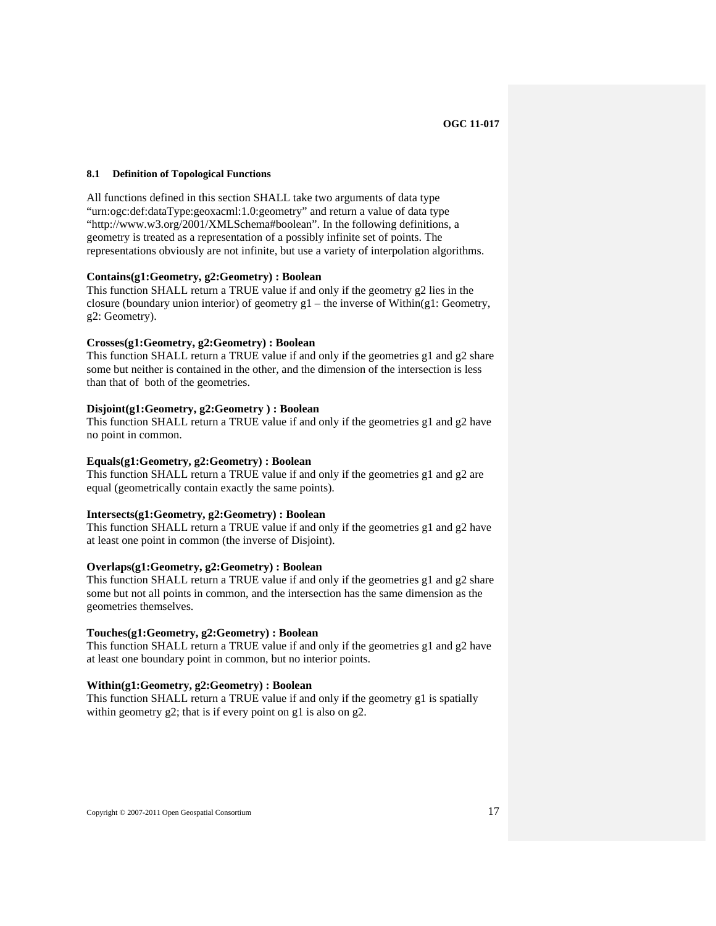#### <span id="page-26-1"></span><span id="page-26-0"></span>**8.1 Definition of Topological Functions**

All functions defined in this section SHALL take two arguments of data type ["urn:ogc:def:dataType:geoxacml:1.0:geometry](#page-34-3)" and return a value of data type "http://www.w3.org/2001/XMLSchema#boolean". In the following definitions, a geometry is treated as a representation of a possibly infinite set of points. The representations obviously are not infinite, but use a variety of interpolation algorithms.

#### **Contains(g1:Geometry, g2:Geometry) : Boolean**

This function SHALL return a TRUE value if and only if the geometry g2 lies in the closure (boundary union interior) of geometry g1 – the inverse of Within(g1: Geometry, g2: Geometry).

#### **Crosses(g1:Geometry, g2:Geometry) : Boolean**

This function SHALL return a TRUE value if and only if the geometries g1 and g2 share some but neither is contained in the other, and the dimension of the intersection is less than that of both of the geometries.

#### **Disjoint(g1:Geometry, g2:Geometry ) : Boolean**

This function SHALL return a TRUE value if and only if the geometries g1 and g2 have no point in common.

#### **Equals(g1:Geometry, g2:Geometry) : Boolean**

This function SHALL return a TRUE value if and only if the geometries g1 and g2 are equal (geometrically contain exactly the same points).

#### **Intersects(g1:Geometry, g2:Geometry) : Boolean**

This function SHALL return a TRUE value if and only if the geometries g1 and g2 have at least one point in common (the inverse of Disjoint).

#### **Overlaps(g1:Geometry, g2:Geometry) : Boolean**

This function SHALL return a TRUE value if and only if the geometries g1 and g2 share some but not all points in common, and the intersection has the same dimension as the geometries themselves.

#### **Touches(g1:Geometry, g2:Geometry) : Boolean**

This function SHALL return a TRUE value if and only if the geometries g1 and g2 have at least one boundary point in common, but no interior points.

#### **Within(g1:Geometry, g2:Geometry) : Boolean**

This function SHALL return a TRUE value if and only if the geometry g1 is spatially within geometry g2; that is if every point on g1 is also on g2.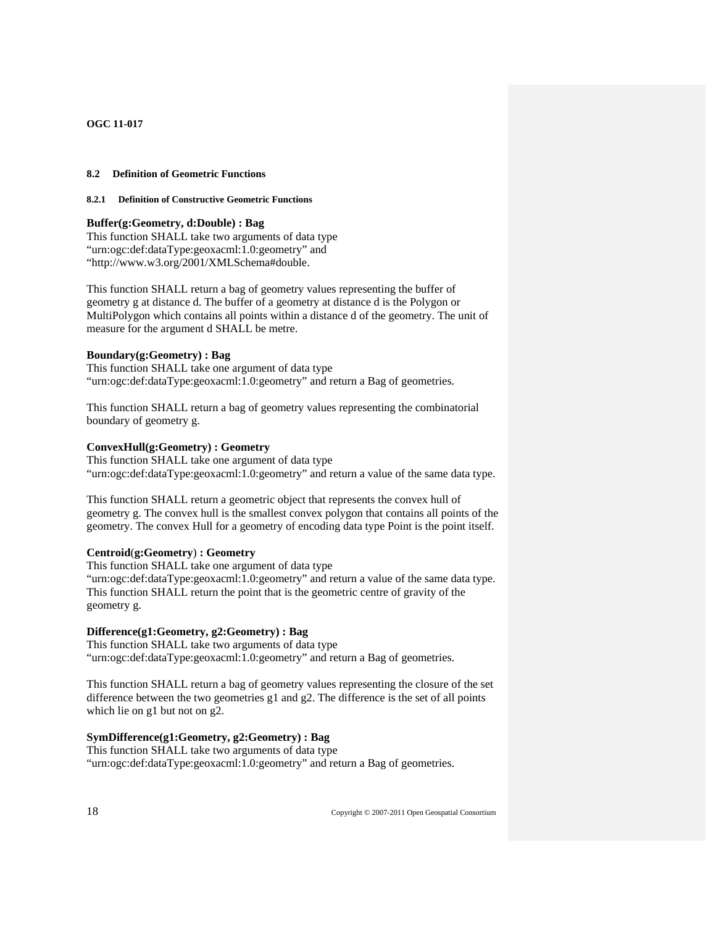#### <span id="page-27-2"></span><span id="page-27-1"></span><span id="page-27-0"></span>**8.2 Definition of Geometric Functions**

### **8.2.1 Definition of Constructive Geometric Functions**

#### **Buffer(g:Geometry, d:Double) : Bag**

This function SHALL take two arguments of data type ["urn:ogc:def:dataType:geoxacml:1.0:geometry](#page-34-3)" and "http://www.w3.org/2001/XMLSchema#double.

This function SHALL return a bag of geometry values representing the buffer of geometry g at distance d. The buffer of a geometry at distance d is the Polygon or MultiPolygon which contains all points within a distance d of the geometry. The unit of measure for the argument d SHALL be metre.

#### **Boundary(g:Geometry) : Bag**

This function SHALL take one argument of data type ["urn:ogc:def:dataType:geoxacml:1.0:geometry](#page-34-3)" and return a Bag of geometries.

This function SHALL return a bag of geometry values representing the combinatorial boundary of geometry g.

#### **ConvexHull(g:Geometry) : Geometry**

This function SHALL take one argument of data type ["urn:ogc:def:dataType:geoxacml:1.0:geometry](#page-34-3)" and return a value of the same data type.

This function SHALL return a geometric object that represents the convex hull of geometry g. The convex hull is the smallest convex polygon that contains all points of the geometry. The convex Hull for a geometry of encoding data type Point is the point itself.

# **Centroid**(**g:Geometry**) **: Geometry**

This function SHALL take one argument of data type ["urn:ogc:def:dataType:geoxacml:1.0:geometry](#page-34-3)" and return a value of the same data type. This function SHALL return the point that is the geometric centre of gravity of the geometry g.

### **Difference(g1:Geometry, g2:Geometry) : Bag**

This function SHALL take two arguments of data type ["urn:ogc:def:dataType:geoxacml:1.0:geometry](#page-34-3)" and return a Bag of geometries.

This function SHALL return a bag of geometry values representing the closure of the set difference between the two geometries g1 and g2. The difference is the set of all points which lie on g1 but not on g2.

# **SymDifference(g1:Geometry, g2:Geometry) : Bag**

This function SHALL take two arguments of data type ["urn:ogc:def:dataType:geoxacml:1.0:geometry](#page-34-3)" and return a Bag of geometries.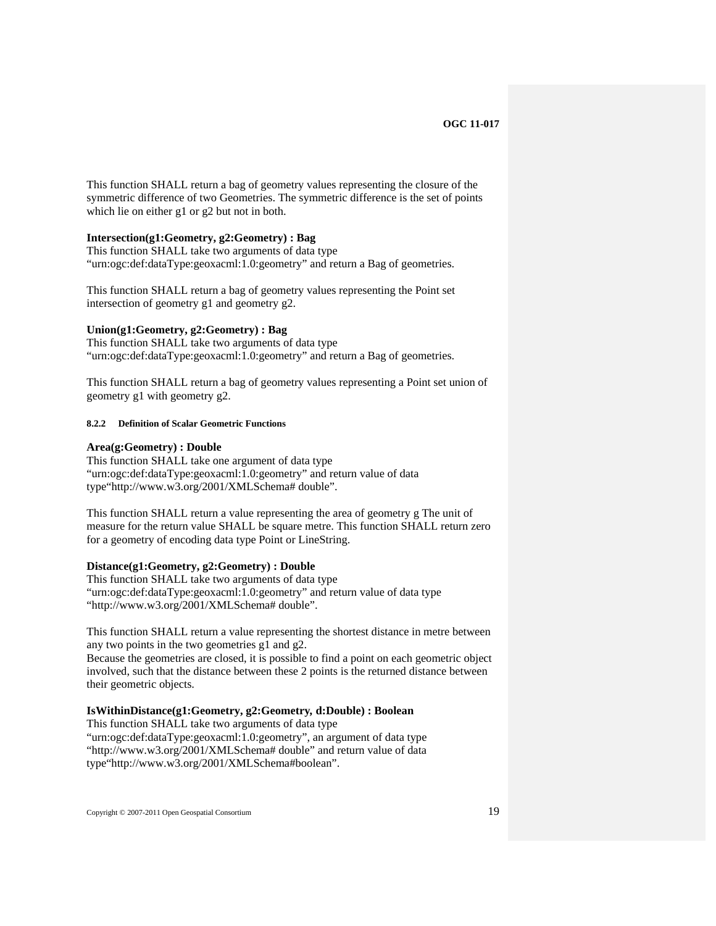<span id="page-28-0"></span>This function SHALL return a bag of geometry values representing the closure of the symmetric difference of two Geometries. The symmetric difference is the set of points which lie on either g1 or g2 but not in both.

### **Intersection(g1:Geometry, g2:Geometry) : Bag**

This function SHALL take two arguments of data type ["urn:ogc:def:dataType:geoxacml:1.0:geometry](#page-34-3)" and return a Bag of geometries.

This function SHALL return a bag of geometry values representing the Point set intersection of geometry g1 and geometry g2.

#### **Union(g1:Geometry, g2:Geometry) : Bag**

This function SHALL take two arguments of data type ["urn:ogc:def:dataType:geoxacml:1.0:geometry](#page-34-3)" and return a Bag of geometries.

This function SHALL return a bag of geometry values representing a Point set union of geometry g1 with geometry g2.

<span id="page-28-1"></span>**8.2.2 Definition of Scalar Geometric Functions** 

#### **Area(g:Geometry) : Double**

This function SHALL take one argument of data type ["urn:ogc:def:dataType:geoxacml:1.0:geometry](#page-34-3)" and return value of data type"http://www.w3.org/2001/XMLSchema# double".

This function SHALL return a value representing the area of geometry g The unit of measure for the return value SHALL be square metre. This function SHALL return zero for a geometry of encoding data type Point or LineString.

# **Distance(g1:Geometry, g2:Geometry) : Double**

This function SHALL take two arguments of data type ["urn:ogc:def:dataType:geoxacml:1.0:geometry](#page-34-3)" and return value of data type "http://www.w3.org/2001/XMLSchema# double".

This function SHALL return a value representing the shortest distance in metre between any two points in the two geometries g1 and g2.

Because the geometries are closed, it is possible to find a point on each geometric object involved, such that the distance between these 2 points is the returned distance between their geometric objects.

#### **IsWithinDistance(g1:Geometry, g2:Geometry***,* **d:Double) : Boolean**

This function SHALL take two arguments of data type ["urn:ogc:def:dataType:geoxacml:1.0:geometry](#page-34-3)", an argument of data type "http://www.w3.org/2001/XMLSchema# double" and return value of data type"http://www.w3.org/2001/XMLSchema#boolean".

Copyright © 2007-2011 Open Geospatial Consortium 19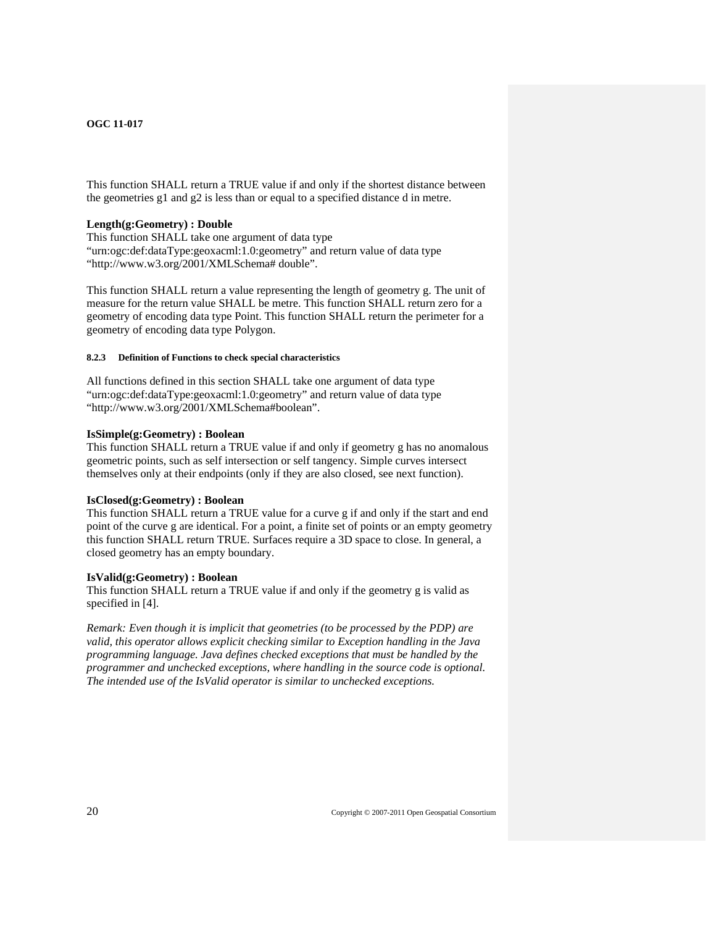<span id="page-29-0"></span>This function SHALL return a TRUE value if and only if the shortest distance between the geometries g1 and g2 is less than or equal to a specified distance d in metre.

#### **Length(g:Geometry) : Double**

This function SHALL take one argument of data type ["urn:ogc:def:dataType:geoxacml:1.0:geometry](#page-34-3)" and return value of data type "http://www.w3.org/2001/XMLSchema# double".

This function SHALL return a value representing the length of geometry g. The unit of measure for the return value SHALL be metre. This function SHALL return zero for a geometry of encoding data type Point. This function SHALL return the perimeter for a geometry of encoding data type Polygon.

#### <span id="page-29-1"></span>**8.2.3 Definition of Functions to check special characteristics**

All functions defined in this section SHALL take one argument of data type ["urn:ogc:def:dataType:geoxacml:1.0:geometry](#page-34-3)" and return value of data type "http://www.w3.org/2001/XMLSchema#boolean".

#### **IsSimple(g:Geometry) : Boolean**

This function SHALL return a TRUE value if and only if geometry g has no anomalous geometric points, such as self intersection or self tangency. Simple curves intersect themselves only at their endpoints (only if they are also closed, see next function).

# **IsClosed(g:Geometry) : Boolean**

This function SHALL return a TRUE value for a curve g if and only if the start and end point of the curve g are identical. For a point, a finite set of points or an empty geometry this function SHALL return TRUE. Surfaces require a 3D space to close. In general, a closed geometry has an empty boundary.

#### **IsValid(g:Geometry) : Boolean**

This function SHALL return a TRUE value if and only if the geometry g is valid as specified in [\[4\]](#page-11-4).

*Remark: Even though it is implicit that geometries (to be processed by the PDP) are valid, this operator allows explicit checking similar to Exception handling in the Java programming language. Java defines checked exceptions that must be handled by the programmer and unchecked exceptions, where handling in the source code is optional. The intended use of the IsValid operator is similar to unchecked exceptions.*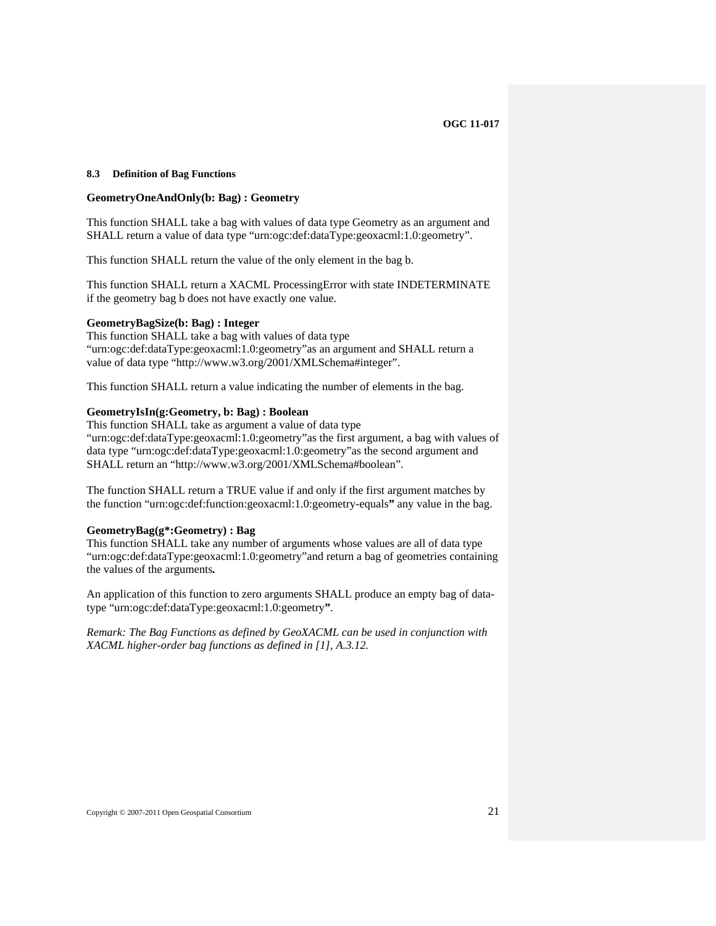#### <span id="page-30-1"></span><span id="page-30-0"></span>**8.3 Definition of Bag Functions**

#### **GeometryOneAndOnly(b: Bag) : Geometry**

This function SHALL take a bag with values of data type Geometry as an argument and SHALL return a value of data type "[urn:ogc:def:dataType:geoxacml:1.0:geometry](#page-34-3)".

This function SHALL return the value of the only element in the bag b.

This function SHALL return a XACML ProcessingError with state INDETERMINATE if the geometry bag b does not have exactly one value.

#### **GeometryBagSize(b: Bag) : Integer**

This function SHALL take a bag with values of data type ["urn:ogc:def:dataType:geoxacml:1.0:geometry](#page-34-3)"as an argument and SHALL return a value of data type "http://www.w3.org/2001/XMLSchema#integer".

This function SHALL return a value indicating the number of elements in the bag.

# **GeometryIsIn(g:Geometry, b: Bag) : Boolean**

This function SHALL take as argument a value of data type ["urn:ogc:def:dataType:geoxacml:1.0:geometry](#page-34-3)"as the first argument, a bag with values of data type "[urn:ogc:def:dataType:geoxacml:1.0:geometry](#page-34-3)"as the second argument and SHALL return an "http://www.w3.org/2001/XMLSchema#boolean".

The function SHALL return a TRUE value if and only if the first argument matches by the function ["urn:ogc:def:function:geoxacml:1.0:geometry-equals](#page-34-4)**"** any value in the bag.

#### **GeometryBag(g\*:Geometry) : Bag**

This function SHALL take any number of arguments whose values are all of data type ["urn:ogc:def:dataType:geoxacml:1.0:geometry](#page-34-3)"and return a bag of geometries containing the values of the arguments*.*

An application of this function to zero arguments SHALL produce an empty bag of datatype "[urn:ogc:def:dataType:geoxacml:1.0:geometry](#page-34-3)**"**.

*Remark: The Bag Functions as defined by GeoXACML can be used in conjunction with XACML higher-order bag functions as defined in [\[1\]](#page-11-2), A.3.12.*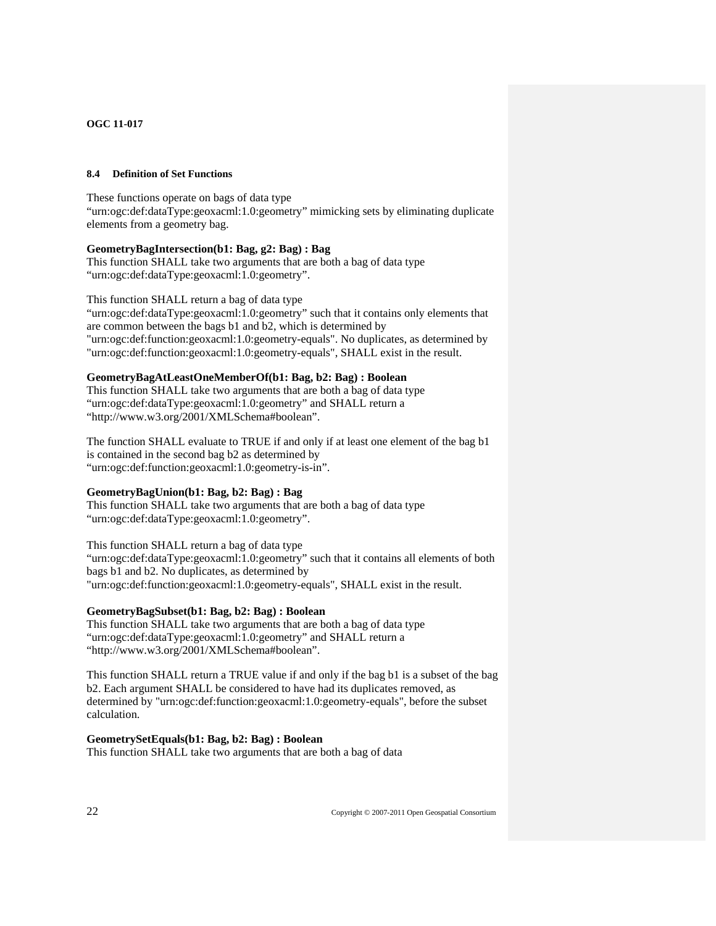#### <span id="page-31-1"></span><span id="page-31-0"></span>**8.4 Definition of Set Functions**

These functions operate on bags of data type ["urn:ogc:def:dataType:geoxacml:1.0:geometry](#page-34-3)" mimicking sets by eliminating duplicate elements from a geometry bag.

### **GeometryBagIntersection(b1: Bag, g2: Bag) : Bag**

This function SHALL take two arguments that are both a bag of data type ["urn:ogc:def:dataType:geoxacml:1.0:geometry](#page-34-3)".

This function SHALL return a bag of data type ["urn:ogc:def:dataType:geoxacml:1.0:geometry](#page-34-3)" such that it contains only elements that are common between the bags b1 and b2, which is determined by ["urn:ogc:def:function:geoxacml:1.0:geometry-equals"](#page-34-4). No duplicates, as determined by ["urn:ogc:def:function:geoxacml:1.0:geometry-equals"](#page-34-4), SHALL exist in the result.

#### **GeometryBagAtLeastOneMemberOf(b1: Bag, b2: Bag) : Boolean**

This function SHALL take two arguments that are both a bag of data type ["urn:ogc:def:dataType:geoxacml:1.0:geometry](#page-34-3)" and SHALL return a "http://www.w3.org/2001/XMLSchema#boolean".

The function SHALL evaluate to TRUE if and only if at least one element of the bag b1 is contained in the second bag b2 as determined by ["urn:ogc:def:function:geoxacml:1.0:geometry-is-in](#page-36-3)".

# **GeometryBagUnion(b1: Bag, b2: Bag) : Bag**

This function SHALL take two arguments that are both a bag of data type ["urn:ogc:def:dataType:geoxacml:1.0:geometry](#page-34-3)".

This function SHALL return a bag of data type ["urn:ogc:def:dataType:geoxacml:1.0:geometry](#page-34-3)" such that it contains all elements of both bags b1 and b2. No duplicates, as determined by ["urn:ogc:def:function:geoxacml:1.0:geometry-equals"](#page-34-4), SHALL exist in the result.

# **GeometryBagSubset(b1: Bag, b2: Bag) : Boolean**

This function SHALL take two arguments that are both a bag of data type ["urn:ogc:def:dataType:geoxacml:1.0:geometry](#page-34-3)" and SHALL return a "http://www.w3.org/2001/XMLSchema#boolean".

This function SHALL return a TRUE value if and only if the bag b1 is a subset of the bag b2. Each argument SHALL be considered to have had its duplicates removed, as determined by "[urn:ogc:def:function:geoxacml:1.0:geometry-equals](#page-34-4)", before the subset calculation.

#### **GeometrySetEquals(b1: Bag, b2: Bag) : Boolean**

This function SHALL take two arguments that are both a bag of data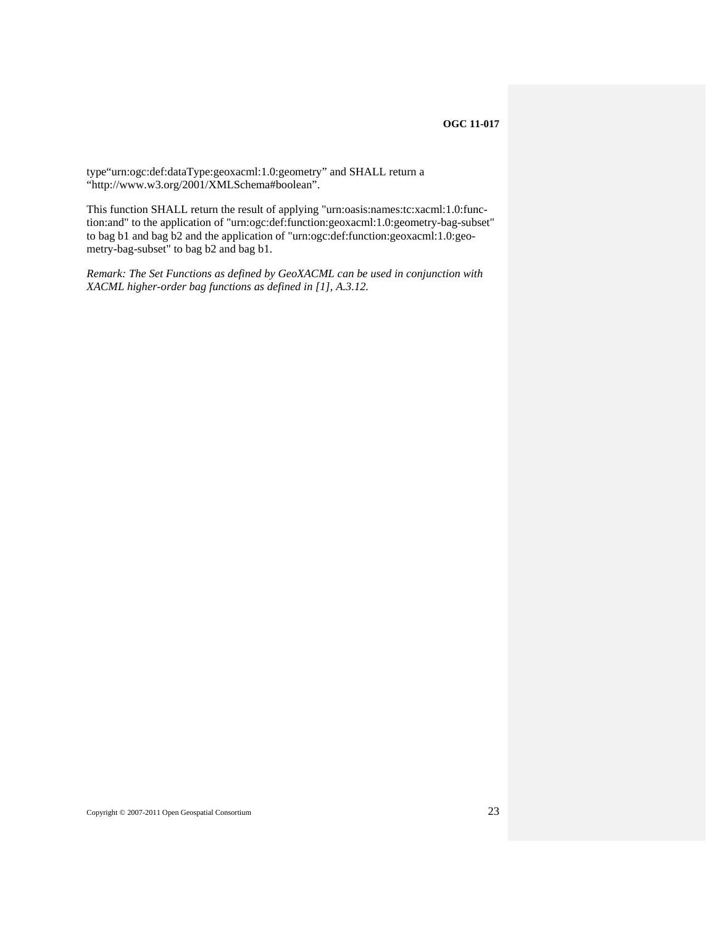type["urn:ogc:def:dataType:geoxacml:1.0:geometry](#page-34-3)" and SHALL return a "http://www.w3.org/2001/XMLSchema#boolean".

This function SHALL return the result of applying "urn:oasis:names:tc:xacml:1.0:function:and" to the application of "urn:ogc:def:function:geoxacml:1.0:geometry-bag-subset" to bag b1 and bag b2 and the application of "urn:ogc:def:function:geoxacml:1.0:geometry-bag-subset" to bag b2 and bag b1.

*Remark: The Set Functions as defined by GeoXACML can be used in conjunction with XACML higher-order bag functions as defined in [\[1\]](#page-11-2), A.3.12.*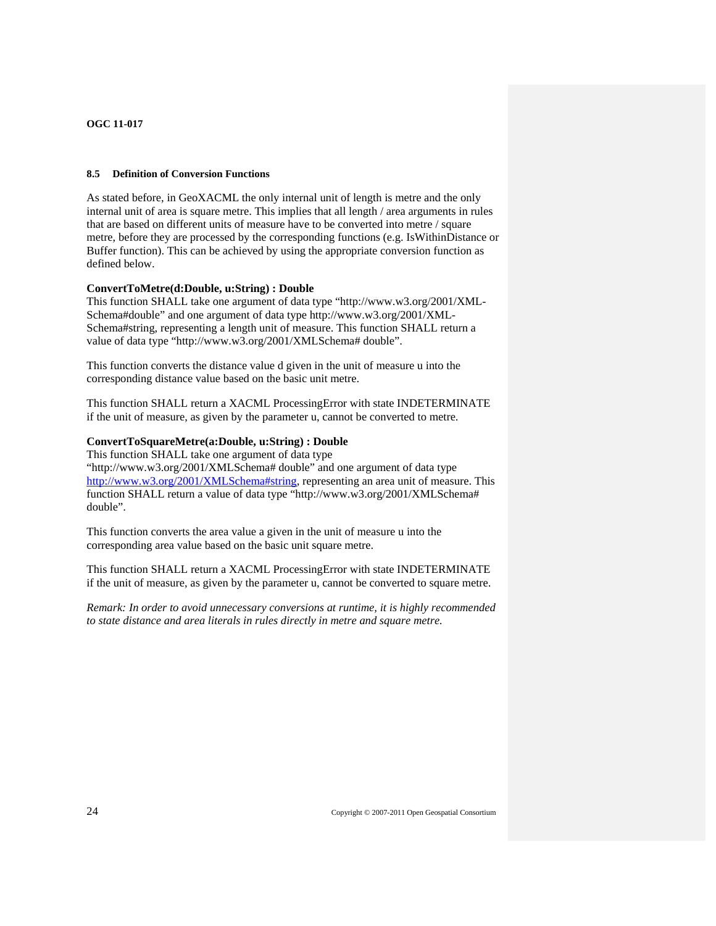#### <span id="page-33-0"></span>**8.5 Definition of Conversion Functions**

As stated before, in GeoXACML the only internal [unit](http://en.wikipedia.org/wiki/Units_of_measurement) of [length](http://en.wikipedia.org/wiki/Length) is metre and the only internal unit of area is square metre. This implies that all length / area arguments in rules that are based on different units of measure have to be converted into metre / square metre, before they are processed by the corresponding functions (e.g. IsWithinDistance or Buffer function). This can be achieved by using the appropriate conversion function as defined below.

# <span id="page-33-1"></span>**ConvertToMetre(d:Double, u:String) : Double**

This function SHALL take one argument of data type "http://www.w3.org/2001/XML-Schema#double" and one argument of data type http://www.w3.org/2001/XML-Schema#string, representing a length unit of measure. This function SHALL return a value of data type "http://www.w3.org/2001/XMLSchema# double".

This function converts the distance value d given in the unit of measure u into the corresponding distance value based on the basic unit metre.

This function SHALL return a XACML ProcessingError with state INDETERMINATE if the unit of measure, as given by the parameter u, cannot be converted to metre.

#### **ConvertToSquareMetre(a:Double, u:String) : Double**

This function SHALL take one argument of data type "http://www.w3.org/2001/XMLSchema# double" and one argument of data type [http://www.w3.org/2001/XMLSchema#string,](http://www.w3.org/2001/XMLSchema#string) representing an area unit of measure. This function SHALL return a value of data type "http://www.w3.org/2001/XMLSchema# double".

This function converts the area value a given in the unit of measure u into the corresponding area value based on the basic unit square metre.

This function SHALL return a XACML ProcessingError with state INDETERMINATE if the unit of measure, as given by the parameter u, cannot be converted to square metre.

*Remark: In order to avoid unnecessary conversions at runtime, it is highly recommended to state distance and area literals in rules directly in metre and square metre.*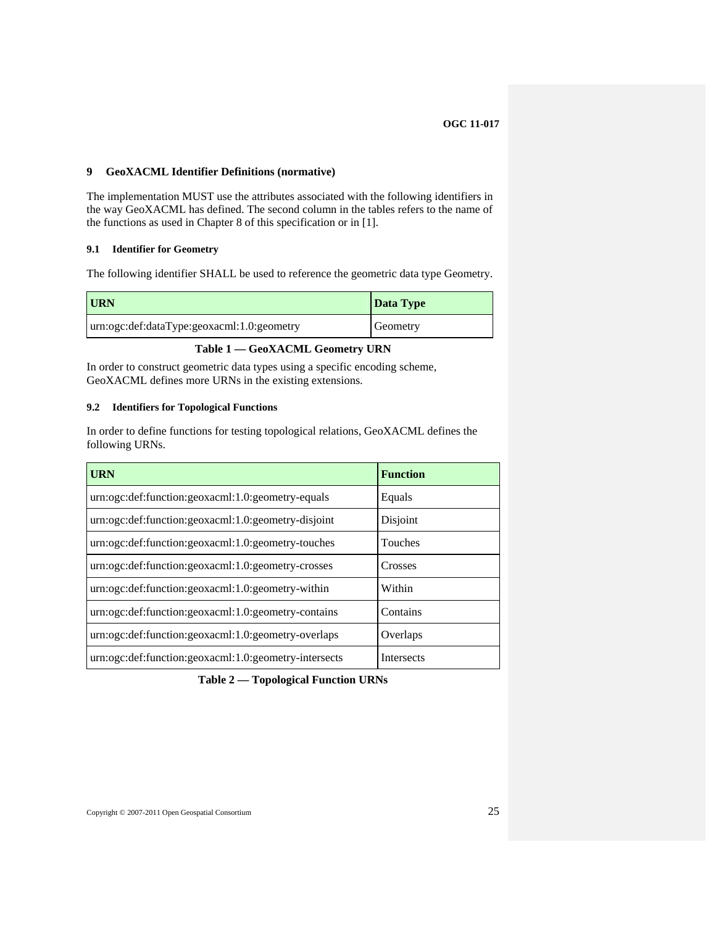## <span id="page-34-0"></span>**9 GeoXACML Identifier Definitions (normative)**

<span id="page-34-1"></span>The implementation MUST use the attributes associated with the following identifiers in the way GeoXACML has defined. The second column in the tables refers to the name of the functions as used in Chapter 8 of this specification or in [\[1\]](#page-11-2).

# **9.1 Identifier for Geometry**

The following identifier SHALL be used to reference the geometric data type Geometry.

<span id="page-34-3"></span>

| <b>URN</b>                                 | Data Type |
|--------------------------------------------|-----------|
| urn:ogc:def:dataType:geoxacml:1.0:geometry | Geometry  |

# **Table 1 — GeoXACML Geometry URN**

In order to construct geometric data types using a specific encoding scheme, GeoXACML defines more URNs in the existing extensions.

#### <span id="page-34-2"></span>**9.2 Identifiers for Topological Functions**

In order to define functions for testing topological relations, GeoXACML defines the following URNs.

<span id="page-34-4"></span>

| <b>URN</b>                                            | <b>Function</b>   |
|-------------------------------------------------------|-------------------|
| urn:ogc:def:function:geoxacml:1.0:geometry-equals     | Equals            |
| urn:ogc:def:function:geoxacml:1.0:geometry-disjoint   | Disjoint          |
| urn:ogc:def:function:geoxacml:1.0:geometry-touches    | Touches           |
| urn:ogc:def:function:geoxacml:1.0:geometry-crosses    | Crosses           |
| urn:ogc:def:function:geoxacml:1.0:geometry-within     | Within            |
| urn:ogc:def:function:geoxacml:1.0:geometry-contains   | Contains          |
| urn:ogc:def:function:geoxacml:1.0:geometry-overlaps   | Overlaps          |
| urn:ogc:def:function:geoxacml:1.0:geometry-intersects | <b>Intersects</b> |

**Table 2 — Topological Function URNs**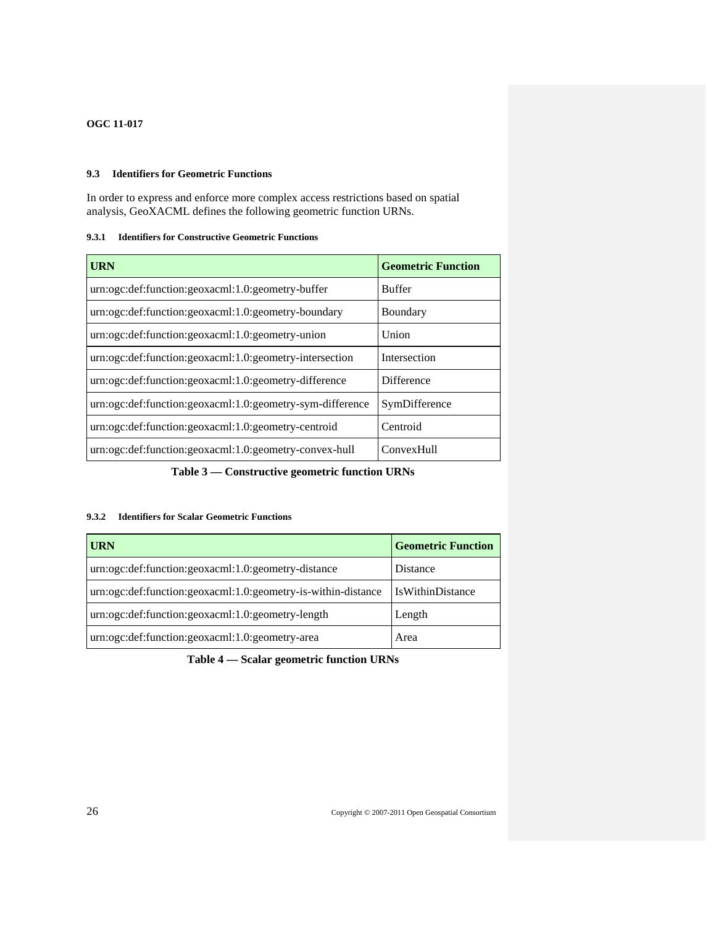# <span id="page-35-2"></span><span id="page-35-1"></span><span id="page-35-0"></span>**9.3 Identifiers for Geometric Functions**

In order to express and enforce more complex access restrictions based on spatial analysis, GeoXACML defines the following geometric function URNs.

# **9.3.1 Identifiers for Constructive Geometric Functions**

| <b>URN</b>                                                | <b>Geometric Function</b> |
|-----------------------------------------------------------|---------------------------|
| urn:ogc:def:function:geoxacml:1.0:geometry-buffer         | <b>Buffer</b>             |
| urn:ogc:def:function:geoxacml:1.0:geometry-boundary       | Boundary                  |
| urn:ogc:def:function:geoxacml:1.0:geometry-union          | Union                     |
| urn:ogc:def:function:geoxacml:1.0:geometry-intersection   | Intersection              |
| urn:ogc:def:function:geoxacml:1.0:geometry-difference     | <b>Difference</b>         |
| urn:ogc:def:function:geoxacml:1.0:geometry-sym-difference | SymDifference             |
| urn:ogc:def:function:geoxacml:1.0:geometry-centroid       | Centroid                  |
| urn:ogc:def:function:geoxacml:1.0:geometry-convex-hull    | <b>ConvexHull</b>         |

**Table 3 — Constructive geometric function URNs** 

# <span id="page-35-3"></span>**9.3.2 Identifiers for Scalar Geometric Functions**

| <b>URN</b>                                                    | <b>Geometric Function</b> |
|---------------------------------------------------------------|---------------------------|
| urn:ogc:def:function:geoxacml:1.0:geometry-distance           | Distance                  |
| urn:ogc:def:function:geoxacml:1.0:geometry-is-within-distance | <b>IsWithinDistance</b>   |
| urn:ogc:def:function:geoxacml:1.0:geometry-length             | Length                    |
| urn:ogc:def:function:geoxacml:1.0:geometry-area               | Area                      |

**Table 4 — Scalar geometric function URNs**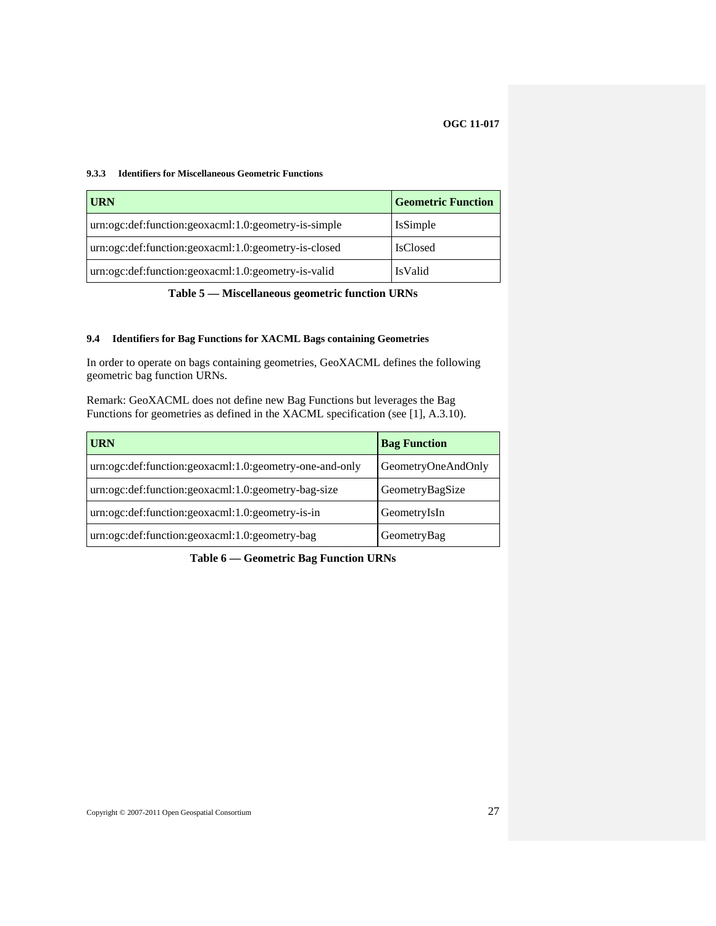#### <span id="page-36-1"></span><span id="page-36-0"></span>**9.3.3 Identifiers for Miscellaneous Geometric Functions**

| <b>URN</b>                                           | <b>Geometric Function</b> |
|------------------------------------------------------|---------------------------|
| urn:ogc:def:function:geoxacml:1.0:geometry-is-simple | <b>IsSimple</b>           |
| urn:ogc:def:function:geoxacml:1.0:geometry-is-closed | <b>IsClosed</b>           |
| urn:ogc:def:function:geoxacml:1.0:geometry-is-valid  | <b>IsValid</b>            |

**Table 5 — Miscellaneous geometric function URNs** 

# <span id="page-36-2"></span>**9.4 Identifiers for Bag Functions for XACML Bags containing Geometries**

In order to operate on bags containing geometries, GeoXACML defines the following geometric bag function URNs.

Remark: GeoXACML does not define new Bag Functions but leverages the Bag Functions for geometries as defined in the XACML specification (see [\[1\],](#page-11-2) A.3.10).

<span id="page-36-3"></span>

| <b>URN</b>                                              | <b>Bag Function</b> |
|---------------------------------------------------------|---------------------|
| urn:ogc:def:function:geoxacml:1.0:geometry-one-and-only | GeometryOneAndOnly  |
| urn:ogc:def:function:geoxacml:1.0:geometry-bag-size     | GeometryBagSize     |
| urn:ogc:def:function:geoxacml:1.0:geometry-is-in        | GeometryIsIn        |
| urn:ogc:def:function:geoxacml:1.0:geometry-bag          | GeometryBag         |

**Table 6 — Geometric Bag Function URNs**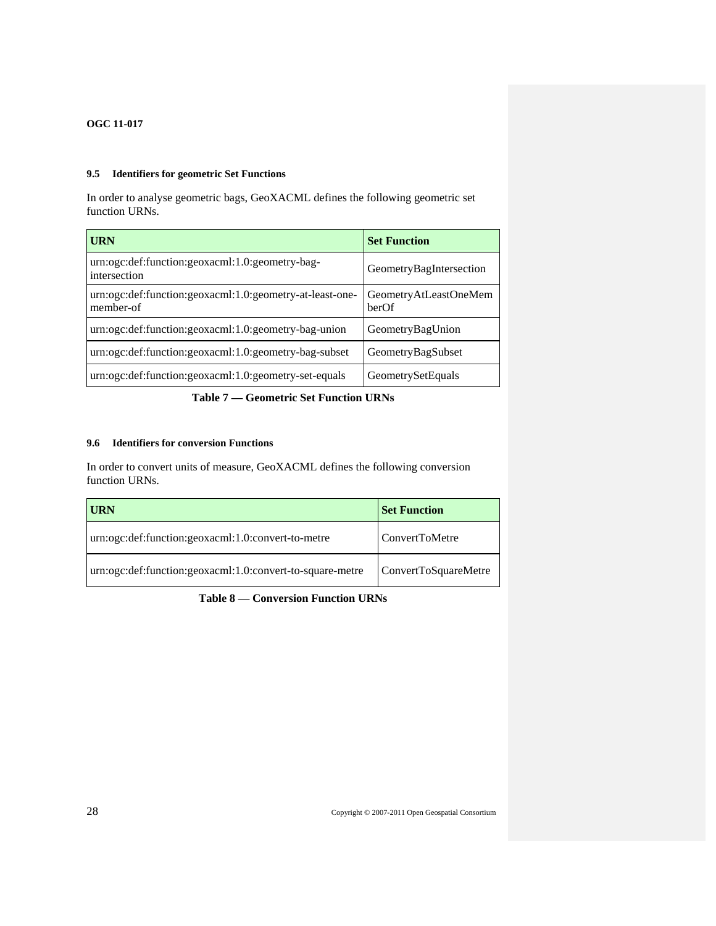# <span id="page-37-1"></span><span id="page-37-0"></span>**9.5 Identifiers for geometric Set Functions**

In order to analyse geometric bags, GeoXACML defines the following geometric set function URNs.

| <b>URN</b>                                                            | <b>Set Function</b>            |
|-----------------------------------------------------------------------|--------------------------------|
| urn:ogc:def:function:geoxacml:1.0:geometry-bag-<br>intersection       | GeometryBagIntersection        |
| urn:ogc:def:function:geoxacml:1.0:geometry-at-least-one-<br>member-of | GeometryAtLeastOneMem<br>berOf |
| urn:ogc:def:function:geoxacml:1.0:geometry-bag-union                  | GeometryBagUnion               |
| urn:ogc:def:function:geoxacml:1.0:geometry-bag-subset                 | GeometryBagSubset              |
| urn:ogc:def:function:geoxacml:1.0:geometry-set-equals                 | GeometrySetEquals              |

# **Table 7 — Geometric Set Function URNs**

# <span id="page-37-2"></span>**9.6 Identifiers for conversion Functions**

In order to convert units of measure, GeoXACML defines the following conversion function URNs.

| URN                                                       | <b>Set Function</b>  |
|-----------------------------------------------------------|----------------------|
| urn:ogc:def:function:geoxacml:1.0:convert-to-metre        | l ConvertToMetre     |
| urn:ogc:def:function:geoxacml:1.0:convert-to-square-metre | ConvertToSquareMetre |

**Table 8 — Conversion Function URNs**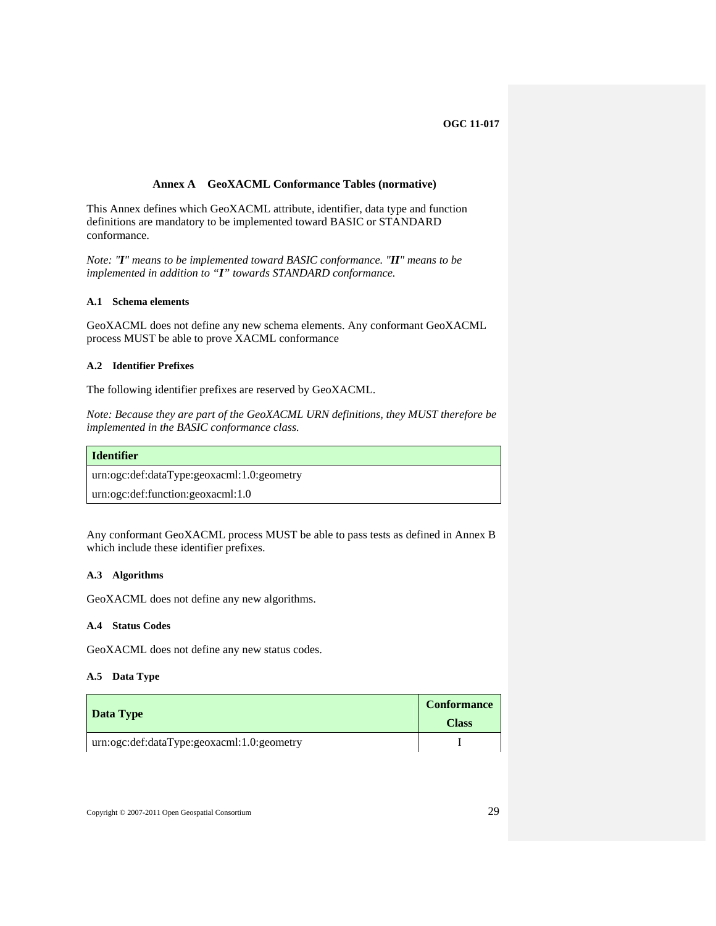# **Annex A GeoXACML Conformance Tables (normative)**

<span id="page-38-1"></span><span id="page-38-0"></span>This Annex defines which GeoXACML attribute, identifier, data type and function definitions are mandatory to be implemented toward BASIC or STANDARD conformance.

<span id="page-38-2"></span>*Note: "I" means to be implemented toward BASIC conformance. "II" means to be implemented in addition to "I" towards STANDARD conformance.*

#### **A.1 Schema elements**

<span id="page-38-3"></span>GeoXACML does not define any new schema elements. Any conformant GeoXACML process MUST be able to prove XACML conformance

# **A.2 Identifier Prefixes**

The following identifier prefixes are reserved by GeoXACML.

*Note: Because they are part of the GeoXACML URN definitions, they MUST therefore be implemented in the BASIC conformance class.* 

#### **Identifier**

[urn:ogc:def:dataType:geoxacml:1.0:geometry](#page-34-3)

urn:ogc:def:function:geoxacml:1.0

Any conformant GeoXACML process MUST be able to pass tests as defined in Annex B which include these identifier prefixes.

#### **A.3 Algorithms**

<span id="page-38-4"></span>GeoXACML does not define any new algorithms.

#### **A.4 Status Codes**

<span id="page-38-5"></span>GeoXACML does not define any new status codes.

### **A.5 Data Type**

<span id="page-38-6"></span>

|                                            | <b>Conformance</b> |
|--------------------------------------------|--------------------|
| Data Type                                  | <b>Class</b>       |
| urn:ogc:def:dataType:geoxacml:1.0:geometry |                    |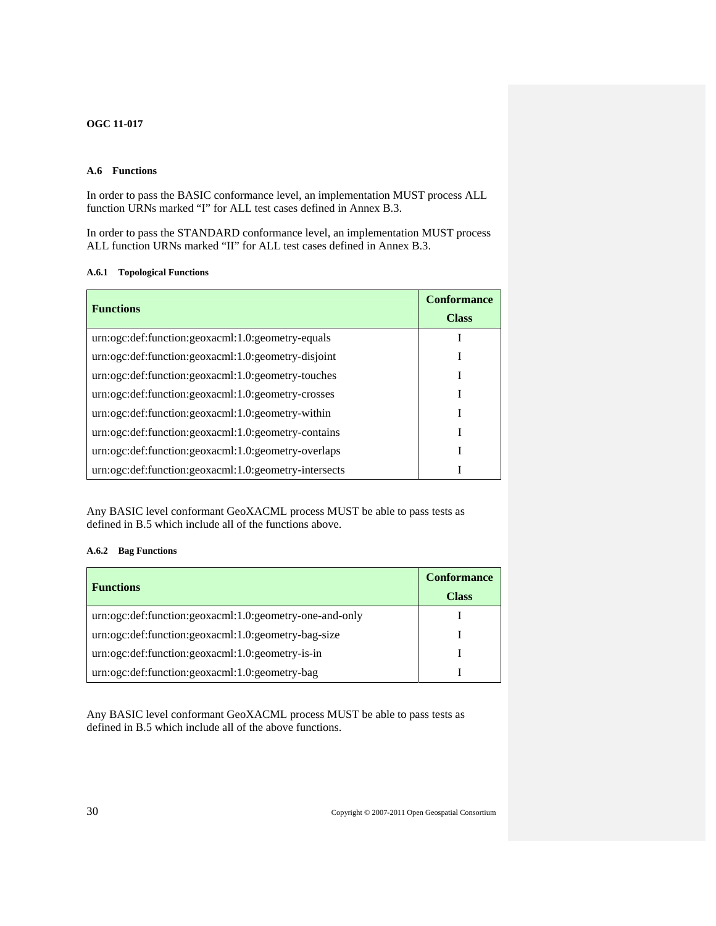# <span id="page-39-1"></span><span id="page-39-0"></span>**A.6 Functions**

In order to pass the BASIC conformance level, an implementation MUST process ALL function URNs marked "I" for ALL test cases defined in Annex B.3.

<span id="page-39-2"></span>In order to pass the STANDARD conformance level, an implementation MUST process ALL function URNs marked "II" for ALL test cases defined in Annex B.3.

### **A.6.1 Topological Functions**

| <b>Functions</b>                                      | <b>Conformance</b><br><b>Class</b> |
|-------------------------------------------------------|------------------------------------|
| urn:ogc:def:function:geoxacml:1.0:geometry-equals     |                                    |
| urn:ogc:def:function:geoxacml:1.0:geometry-disjoint   |                                    |
| urn:ogc:def:function:geoxacml:1.0:geometry-touches    |                                    |
| urn:ogc:def:function:geoxacml:1.0:geometry-crosses    |                                    |
| urn:ogc:def:function:geoxacml:1.0:geometry-within     |                                    |
| urn:ogc:def:function:geoxacml:1.0:geometry-contains   |                                    |
| urn:ogc:def:function:geoxacml:1.0:geometry-overlaps   |                                    |
| urn:ogc:def:function:geoxacml:1.0:geometry-intersects |                                    |

Any BASIC level conformant GeoXACML process MUST be able to pass tests as defined in B.5 which include all of the functions above.

# **A.6.2 Bag Functions**

<span id="page-39-3"></span>

| <b>Functions</b>                                        | <b>Conformance</b> |
|---------------------------------------------------------|--------------------|
|                                                         | <b>Class</b>       |
| urn:ogc:def:function:geoxacml:1.0:geometry-one-and-only |                    |
| urn:ogc:def:function:geoxacml:1.0:geometry-bag-size     |                    |
| urn:ogc:def:function:geoxacml:1.0:geometry-is-in        |                    |
| urn:ogc:def:function:geoxacml:1.0:geometry-bag          |                    |

Any BASIC level conformant GeoXACML process MUST be able to pass tests as defined in B.5 which include all of the above functions.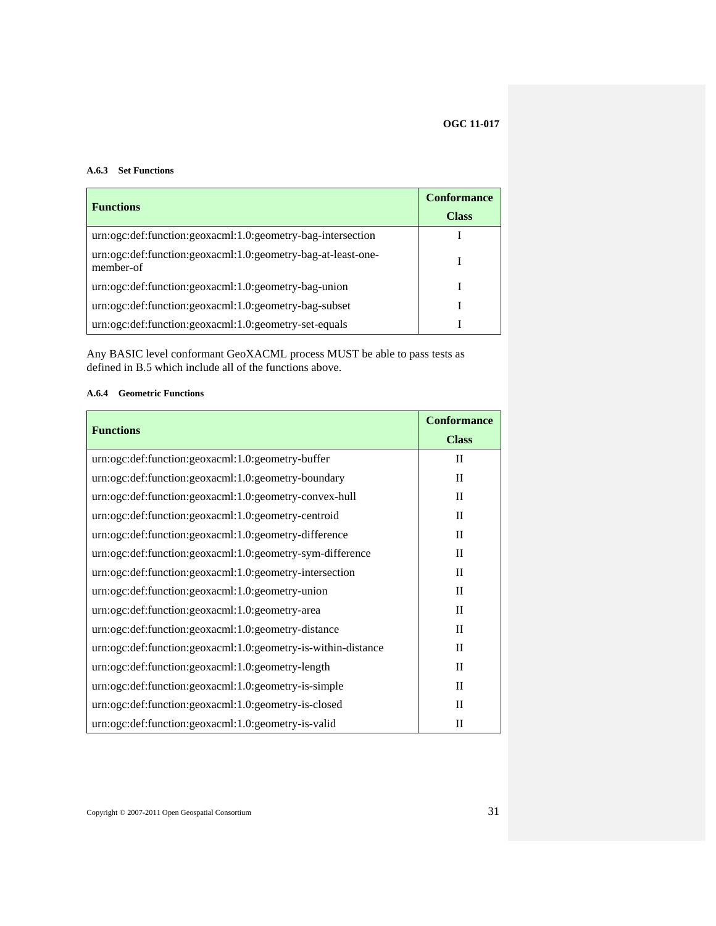### <span id="page-40-1"></span><span id="page-40-0"></span>**A.6.3 Set Functions**

| <b>Functions</b>                                                          | <b>Conformance</b> |
|---------------------------------------------------------------------------|--------------------|
|                                                                           | <b>Class</b>       |
| urn:ogc:def:function:geoxacml:1.0:geometry-bag-intersection               |                    |
| urn:ogc:def:function:geoxacml:1.0:geometry-bag-at-least-one-<br>member-of |                    |
| urn:ogc:def:function:geoxacml:1.0:geometry-bag-union                      |                    |
| urn:ogc:def:function:geoxacml:1.0:geometry-bag-subset                     |                    |
| urn:ogc:def:function:geoxacml:1.0:geometry-set-equals                     |                    |

Any BASIC level conformant GeoXACML process MUST be able to pass tests as defined in B.5 which include all of the functions above.

# <span id="page-40-2"></span>**A.6.4 Geometric Functions**

| <b>Functions</b>                                              | <b>Conformance</b> |
|---------------------------------------------------------------|--------------------|
|                                                               | <b>Class</b>       |
| urn:ogc:def:function:geoxacml:1.0:geometry-buffer             | $_{\rm II}$        |
| urn:ogc:def:function:geoxacml:1.0:geometry-boundary           | $\mathbf{I}$       |
| urn:ogc:def:function:geoxacml:1.0:geometry-convex-hull        | $\mathbf{I}$       |
| urn:ogc:def:function:geoxacml:1.0:geometry-centroid           | $\mathbf{I}$       |
| urn:ogc:def:function:geoxacml:1.0:geometry-difference         | $\mathbf{I}$       |
| urn:ogc:def:function:geoxacml:1.0:geometry-sym-difference     | $\mathbf{I}$       |
| urn:ogc:def:function:geoxacml:1.0:geometry-intersection       | $\mathbf{I}$       |
| urn:ogc:def:function:geoxacml:1.0:geometry-union              | $\mathbf{I}$       |
| urn:ogc:def:function:geoxacml:1.0:geometry-area               | $\mathbf{I}$       |
| urn:ogc:def:function:geoxacml:1.0:geometry-distance           | $\rm II$           |
| urn:ogc:def:function:geoxacml:1.0:geometry-is-within-distance | $\mathbf{I}$       |
| urn:ogc:def:function:geoxacml:1.0:geometry-length             | $\mathbf{I}$       |
| urn:ogc:def:function:geoxacml:1.0:geometry-is-simple          | $\mathbf{I}$       |
| urn:ogc:def:function:geoxacml:1.0:geometry-is-closed          | $\mathbf{I}$       |
| urn:ogc:def:function:geoxacml:1.0:geometry-is-valid           | $\mathbf{I}$       |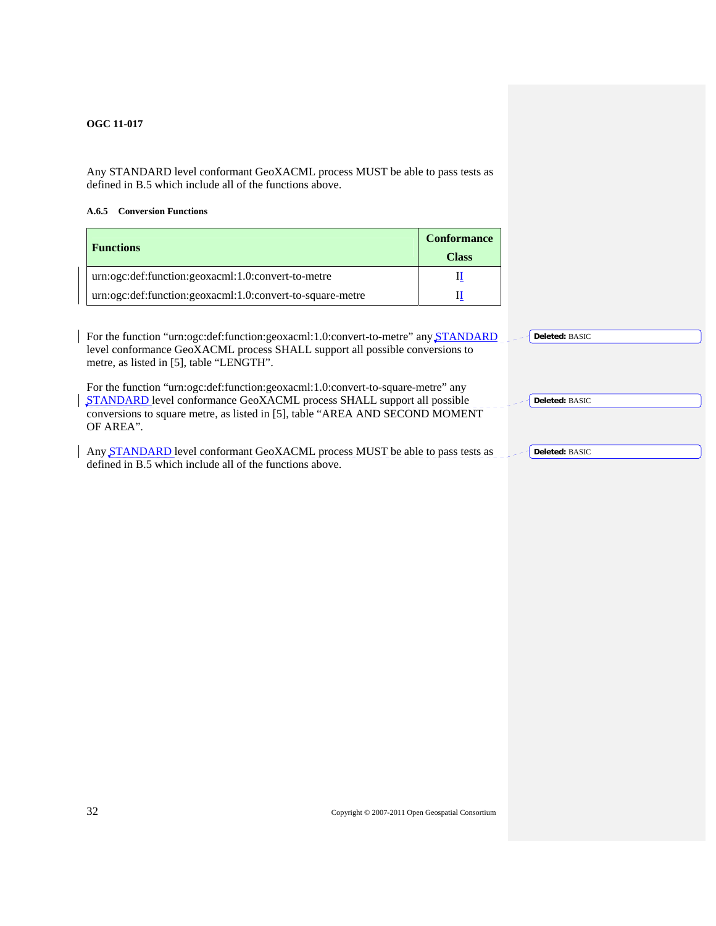<span id="page-41-1"></span><span id="page-41-0"></span>Any STANDARD level conformant GeoXACML process MUST be able to pass tests as defined in B.5 which include all of the functions above.

# **A.6.5 Conversion Functions**

| <b>Functions</b>                                          | <b>Conformance</b><br><b>Class</b> |
|-----------------------------------------------------------|------------------------------------|
| urn:ogc:def:function:geoxacml:1.0:convert-to-metre        |                                    |
| urn:ogc:def:function:geoxacml:1.0:convert-to-square-metre |                                    |

| For the function "urn:ogc:def:function:geoxacml:1.0:convert-to-metre" any STANDARD<br>Deleted: BASIC<br>level conformance GeoXACML process SHALL support all possible conversions to<br>metre, as listed in [5], table "LENGTH".                                          |
|---------------------------------------------------------------------------------------------------------------------------------------------------------------------------------------------------------------------------------------------------------------------------|
| For the function "urn:ogc:def:function:geoxacml:1.0:convert-to-square-metre" any<br>STANDARD level conformance GeoXACML process SHALL support all possible<br>Deleted: BASIC<br>conversions to square metre, as listed in [5], table "AREA AND SECOND MOMENT<br>OF AREA". |
| Any STANDARD level conformant GeoXACML process MUST be able to pass tests as<br>Deleted: BASIC<br>defined in B.5 which include all of the functions above.                                                                                                                |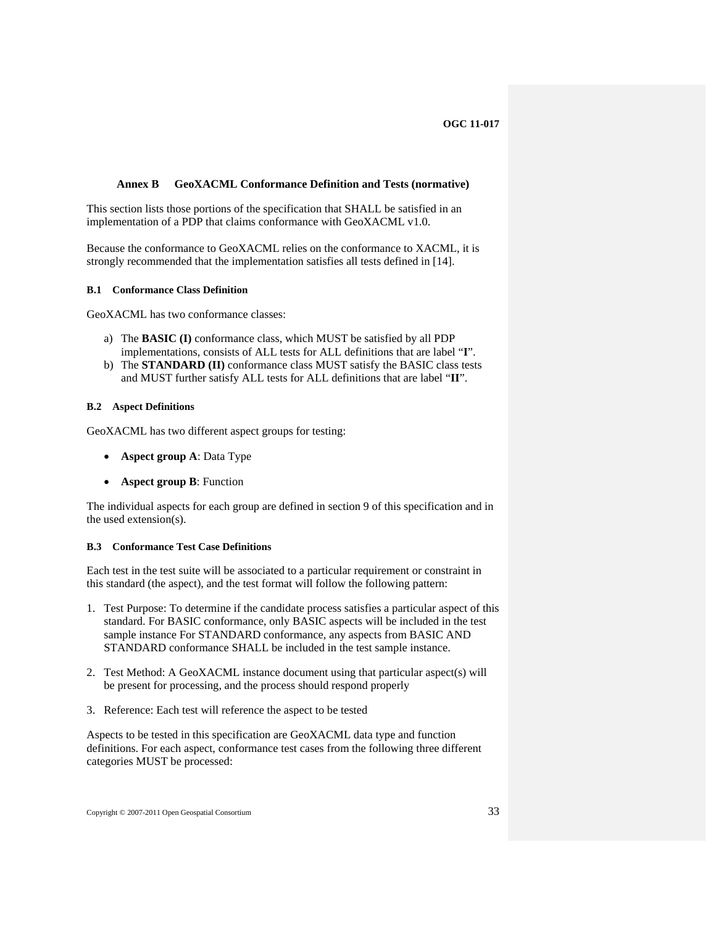#### <span id="page-42-0"></span>**Annex B GeoXACML Conformance Definition and Tests (normative)**

<span id="page-42-1"></span>This section lists those portions of the specification that SHALL be satisfied in an implementation of a PDP that claims conformance with GeoXACML v1.0.

<span id="page-42-2"></span>Because the conformance to GeoXACML relies on the conformance to XACML, it is strongly recommended that the implementation satisfies all tests defined in [\[14\].](#page-54-6)

#### **B.1 Conformance Class Definition**

GeoXACML has two conformance classes:

- a) The **BASIC (I)** conformance class, which MUST be satisfied by all PDP implementations, consists of ALL tests for ALL definitions that are label "**I**".
- b) The **STANDARD (II)** conformance class MUST satisfy the BASIC class tests and MUST further satisfy ALL tests for ALL definitions that are label "**II**".

#### <span id="page-42-3"></span>**B.2 Aspect Definitions**

GeoXACML has two different aspect groups for testing:

- **Aspect group A**: Data Type
- **Aspect group B**: Function

The individual aspects for each group are defined in section 9 of this specification and in the used extension(s).

### **B.3 Conformance Test Case Definitions**

<span id="page-42-4"></span>Each test in the test suite will be associated to a particular requirement or constraint in this standard (the aspect), and the test format will follow the following pattern:

- 1. Test Purpose: To determine if the candidate process satisfies a particular aspect of this standard. For BASIC conformance, only BASIC aspects will be included in the test sample instance For STANDARD conformance, any aspects from BASIC AND STANDARD conformance SHALL be included in the test sample instance.
- 2. Test Method: A GeoXACML instance document using that particular aspect(s) will be present for processing, and the process should respond properly
- 3. Reference: Each test will reference the aspect to be tested

Aspects to be tested in this specification are GeoXACML data type and function definitions. For each aspect, conformance test cases from the following three different categories MUST be processed: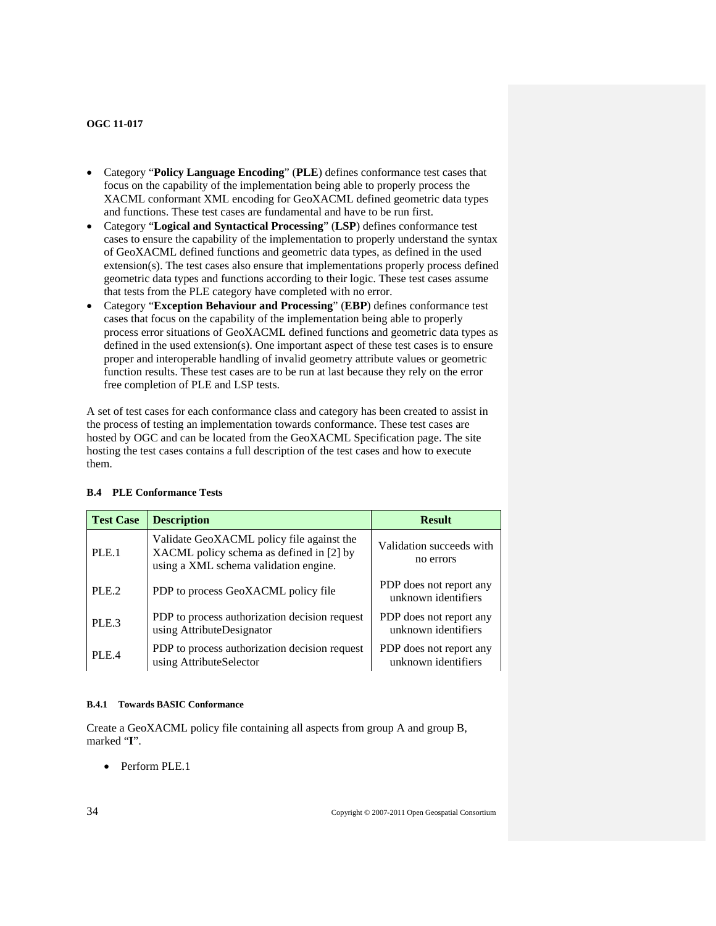- <span id="page-43-0"></span>• Category "**Policy Language Encoding**" (**PLE**) defines conformance test cases that focus on the capability of the implementation being able to properly process the XACML conformant XML encoding for GeoXACML defined geometric data types and functions. These test cases are fundamental and have to be run first.
- Category "**Logical and Syntactical Processing**" (**LSP**) defines conformance test cases to ensure the capability of the implementation to properly understand the syntax of GeoXACML defined functions and geometric data types, as defined in the used extension(s). The test cases also ensure that implementations properly process defined geometric data types and functions according to their logic. These test cases assume that tests from the PLE category have completed with no error.
- Category "**Exception Behaviour and Processing**" (**EBP**) defines conformance test cases that focus on the capability of the implementation being able to properly process error situations of GeoXACML defined functions and geometric data types as defined in the used extension(s). One important aspect of these test cases is to ensure proper and interoperable handling of invalid geometry attribute values or geometric function results. These test cases are to be run at last because they rely on the error free completion of PLE and LSP tests.

A set of test cases for each conformance class and category has been created to assist in the process of testing an implementation towards conformance. These test cases are hosted by OGC and can be located from the GeoXACML Specification page. The site hosting the test cases contains a full description of the test cases and how to execute them.

| <b>Test Case</b> | <b>Description</b>                                                                                                             | <b>Result</b>                                  |
|------------------|--------------------------------------------------------------------------------------------------------------------------------|------------------------------------------------|
| PLE.1            | Validate GeoXACML policy file against the<br>XACML policy schema as defined in [2] by<br>using a XML schema validation engine. | Validation succeeds with<br>no errors          |
| PLE.2            | PDP to process GeoXACML policy file                                                                                            | PDP does not report any<br>unknown identifiers |
| PLE <sub>3</sub> | PDP to process authorization decision request<br>using AttributeDesignator                                                     | PDP does not report any<br>unknown identifiers |
| PLE.4            | PDP to process authorization decision request<br>using AttributeSelector                                                       | PDP does not report any<br>unknown identifiers |

# <span id="page-43-1"></span>**B.4 PLE Conformance Tests**

#### **B.4.1 Towards BASIC Conformance**

<span id="page-43-2"></span>Create a GeoXACML policy file containing all aspects from group A and group B, marked "**I**".

• Perform PLE.1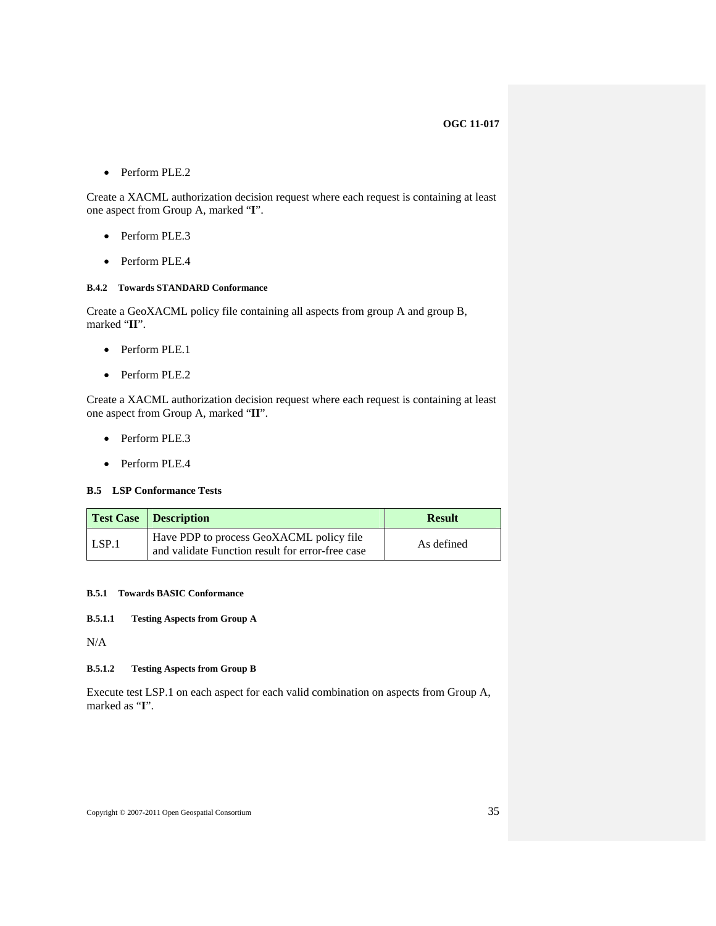<span id="page-44-0"></span>• Perform PLE.2

Create a XACML authorization decision request where each request is containing at least one aspect from Group A, marked "**I**".

- Perform PLE.3
- Perform PLE.4

# <span id="page-44-1"></span>**B.4.2 Towards STANDARD Conformance**

Create a GeoXACML policy file containing all aspects from group A and group B, marked "**II**".

- Perform PLE.1
- Perform PLE.2

Create a XACML authorization decision request where each request is containing at least one aspect from Group A, marked "**II**".

- Perform PLE.3
- Perform PLE.4

#### <span id="page-44-2"></span>**B.5 LSP Conformance Tests**

|       | <b>Test Case</b> Description                                                                 | <b>Result</b> |
|-------|----------------------------------------------------------------------------------------------|---------------|
| LSP.1 | Have PDP to process GeoXACML policy file<br>and validate Function result for error-free case | As defined    |

# **B.5.1 Towards BASIC Conformance**

# <span id="page-44-3"></span>**B.5.1.1 Testing Aspects from Group A**

N/A

# **B.5.1.2 Testing Aspects from Group B**

Execute test LSP.1 on each aspect for each valid combination on aspects from Group A, marked as "**I**".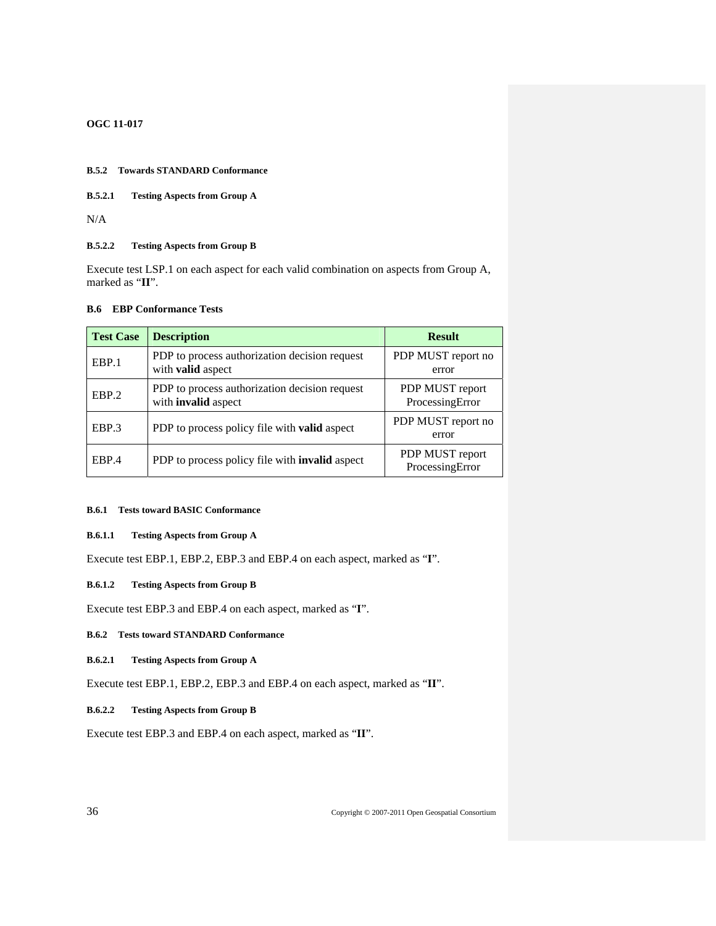#### <span id="page-45-1"></span><span id="page-45-0"></span>**B.5.2 Towards STANDARD Conformance**

**B.5.2.1 Testing Aspects from Group A** 

N/A

# **B.5.2.2 Testing Aspects from Group B**

<span id="page-45-2"></span>Execute test LSP.1 on each aspect for each valid combination on aspects from Group A, marked as "**II**".

# **B.6 EBP Conformance Tests**

| <b>Test Case</b> | <b>Description</b>                                                          | <b>Result</b>                      |
|------------------|-----------------------------------------------------------------------------|------------------------------------|
| EBP.1            | PDP to process authorization decision request<br>with <b>valid</b> aspect   | PDP MUST report no<br>error        |
| EBP.2            | PDP to process authorization decision request<br>with <b>invalid</b> aspect | PDP MUST report<br>ProcessingError |
| EBP.3            | PDP to process policy file with <b>valid</b> aspect                         | PDP MUST report no<br>error        |
| EBP.4            | PDP to process policy file with <b>invalid</b> aspect                       | PDP MUST report<br>ProcessingError |

#### <span id="page-45-3"></span>**B.6.1 Tests toward BASIC Conformance**

### **B.6.1.1 Testing Aspects from Group A**

Execute test EBP.1, EBP.2, EBP.3 and EBP.4 on each aspect, marked as "**I**".

# **B.6.1.2 Testing Aspects from Group B**

Execute test EBP.3 and EBP.4 on each aspect, marked as "**I**".

### **B.6.2 Tests toward STANDARD Conformance**

**B.6.2.1 Testing Aspects from Group A** 

<span id="page-45-4"></span>Execute test EBP.1, EBP.2, EBP.3 and EBP.4 on each aspect, marked as "**II**".

#### **B.6.2.2 Testing Aspects from Group B**

Execute test EBP.3 and EBP.4 on each aspect, marked as "**II**".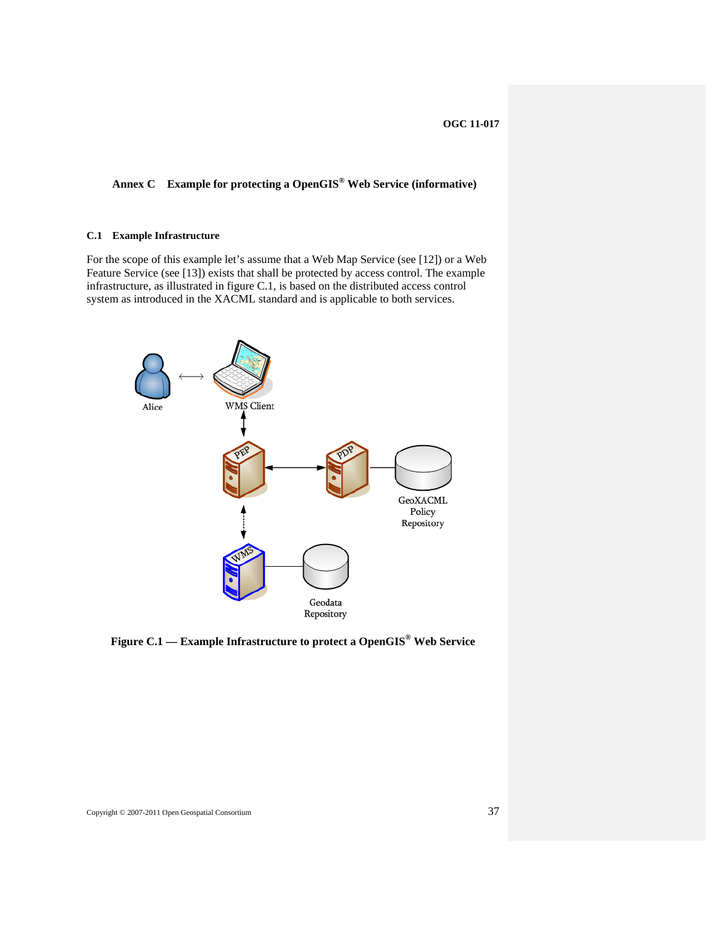# <span id="page-46-1"></span><span id="page-46-0"></span>**Annex C Example for protecting a OpenGIS® Web Service (informative)**

# <span id="page-46-2"></span>**C.1 Example Infrastructure**

For the scope of this example let's assume that a Web Map Service (see [\[12\]\)](#page-54-7) or a Web Feature Service (see [\[13\]](#page-54-8)) exists that shall be protected by access control. The example infrastructure, as illustrated in figure C.1, is based on the distributed access control system as introduced in the XACML standard and is applicable to both services.



**Figure C.1 — Example Infrastructure to protect a OpenGIS® Web Service**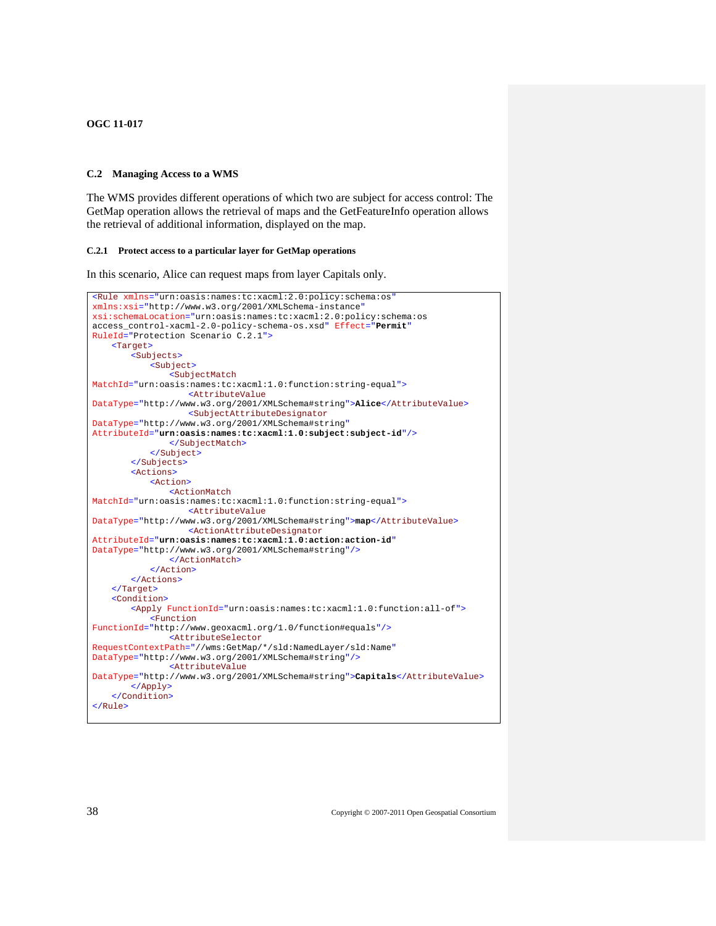#### <span id="page-47-1"></span><span id="page-47-0"></span>**C.2 Managing Access to a WMS**

<span id="page-47-2"></span>The WMS provides different operations of which two are subject for access control: The GetMap operation allows the retrieval of maps and the GetFeatureInfo operation allows the retrieval of additional information, displayed on the map.

#### **C.2.1 Protect access to a particular layer for GetMap operations**

In this scenario, Alice can request maps from layer Capitals only.

```
<Rule xmlns="urn:oasis:names:tc:xacml:2.0:policy:schema:os"
xmlns:xsi="http://www.w3.org/2001/XMLSchema-instance"
xsi:schemaLocation="urn:oasis:names:tc:xacml:2.0:policy:schema:os 
access_control-xacml-2.0-policy-schema-os.xsd" Effect="Permit"
RuleId="Protection Scenario C.2.1">
    <Target>
        <Subjects>
            <Subject>
                <SubjectMatch
MatchId="urn:oasis:names:tc:xacml:1.0:function:string-equal">
                    <AttributeValue
DataType="http://www.w3.org/2001/XMLSchema#string">Alice</AttributeValue>
                    <SubjectAttributeDesignator
DataType="http://www.w3.org/2001/XMLSchema#string"
AttributeId="urn:oasis:names:tc:xacml:1.0:subject:subject-id"/>
                </SubjectMatch>
            </Subject>
         </Subjects> 
        <Actions>
            <Action>
                <ActionMatch
MatchId="urn:oasis:names:tc:xacml:1.0:function:string-equal">
                    <AttributeValue
DataType="http://www.w3.org/2001/XMLSchema#string">map</AttributeValue>
                    <ActionAttributeDesignator
AttributeId="urn:oasis:names:tc:xacml:1.0:action:action-id"
DataType="http://www.w3.org/2001/XMLSchema#string"/>
                </ActionMatch>
            </Action>
        </Actions> 
    </Target>
    <Condition>
         <Apply FunctionId="urn:oasis:names:tc:xacml:1.0:function:all-of">
            <Function
FunctionId="http://www.geoxacml.org/1.0/function#equals"/>
                <AttributeSelector
RequestContextPath="//wms:GetMap/*/sld:NamedLayer/sld:Name"
DataType="http://www.w3.org/2001/XMLSchema#string"/>
                <AttributeValue
DataType="http://www.w3.org/2001/XMLSchema#string">Capitals</AttributeValue>
        </Apply>
    </Condition>
</Rule>
```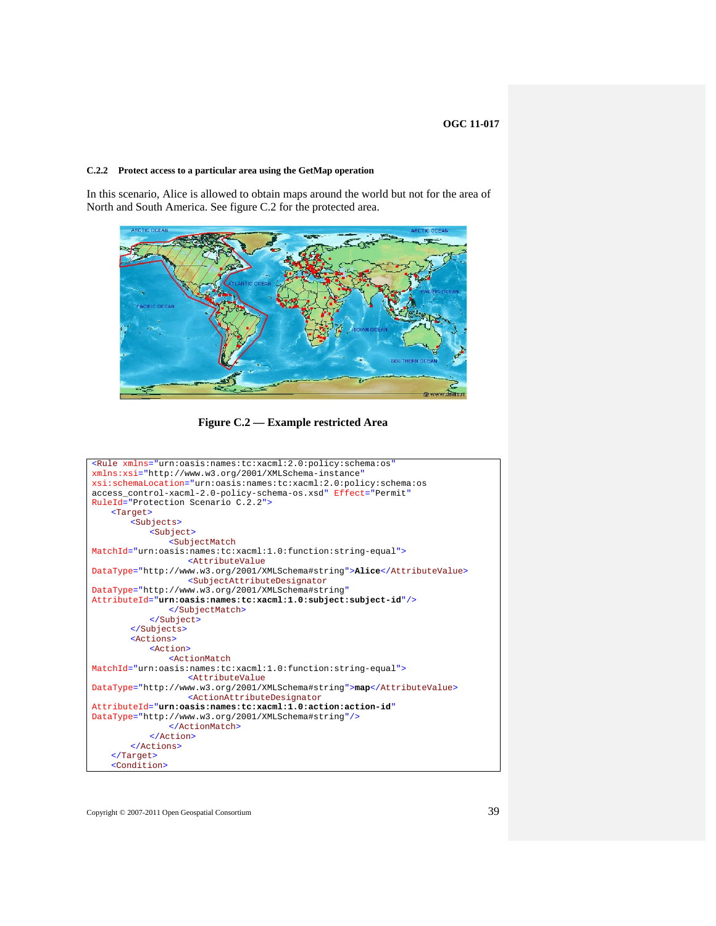#### <span id="page-48-1"></span><span id="page-48-0"></span>**C.2.2 Protect access to a particular area using the GetMap operation**

In this scenario, Alice is allowed to obtain maps around the world but not for the area of North and South America. See figure C.2 for the protected area.



**Figure C.2 — Example restricted Area** 

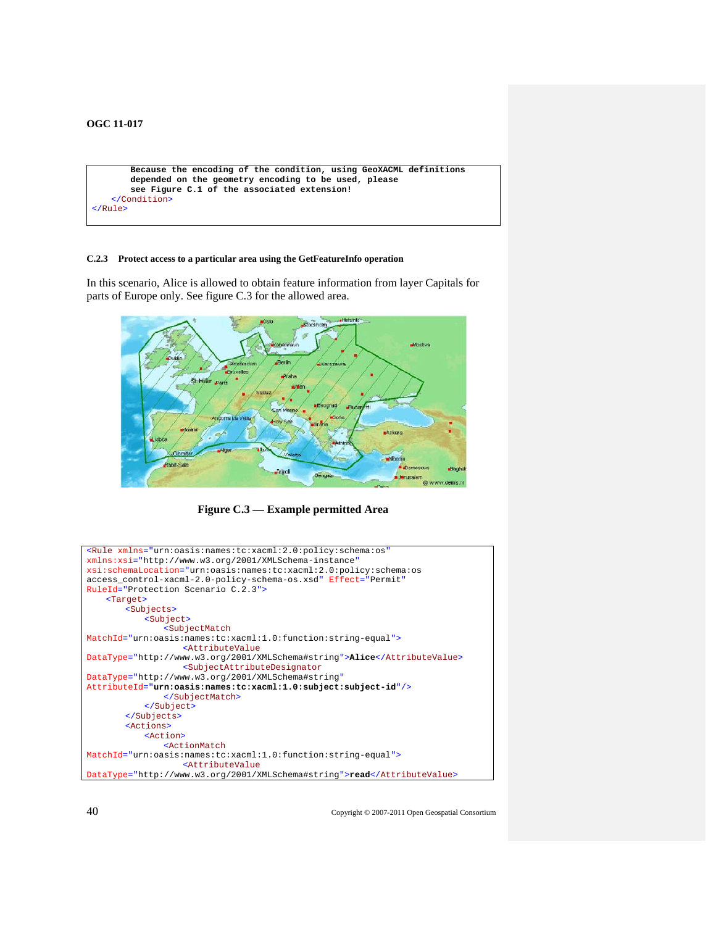```
 Because the encoding of the condition, using GeoXACML definitions
        depended on the geometry encoding to be used, please 
        see Figure C.1 of the associated extension! 
   </Condition>
</Rule>
```
#### <span id="page-49-1"></span>**C.2.3 Protect access to a particular area using the GetFeatureInfo operation**

In this scenario, Alice is allowed to obtain feature information from layer Capitals for parts of Europe only. See figure C.3 for the allowed area.



**Figure C.3 — Example permitted Area** 

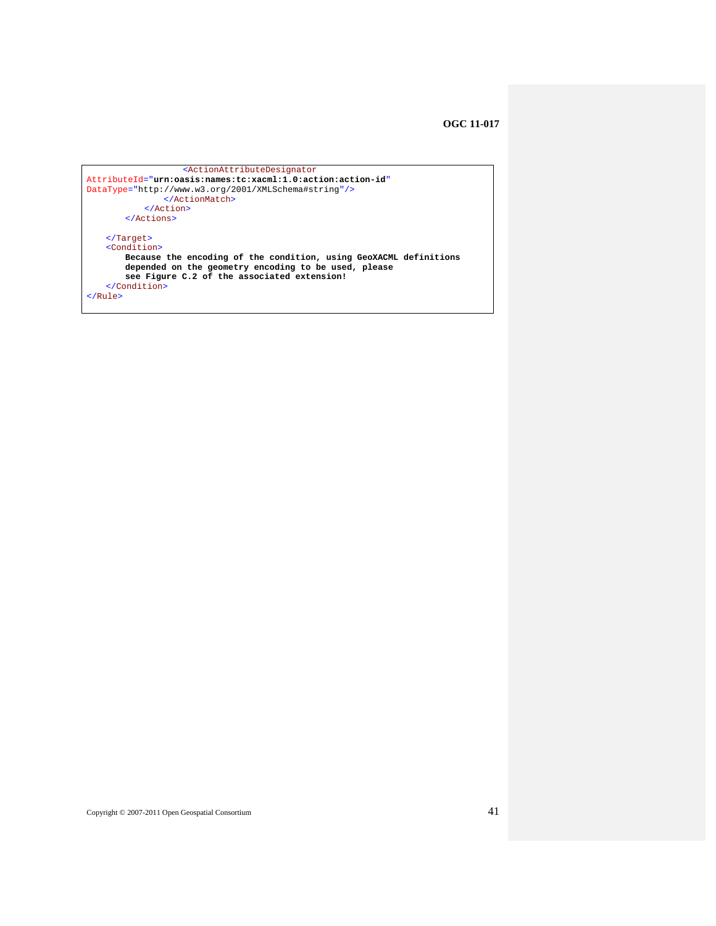```
 <ActionAttributeDesignator
AttributeId="urn:oasis:names:tc:xacml:1.0:action:action-id"
DataType="http://www.w3.org/2001/XMLSchema#string"/>
               </ActionMatch>
            </Action>
       </Actions> 
   </Target>
   <Condition>
       Because the encoding of the condition, using GeoXACML definitions 
        depended on the geometry encoding to be used, please 
        see Figure C.2 of the associated extension! 
   </Condition>
</Rule>
```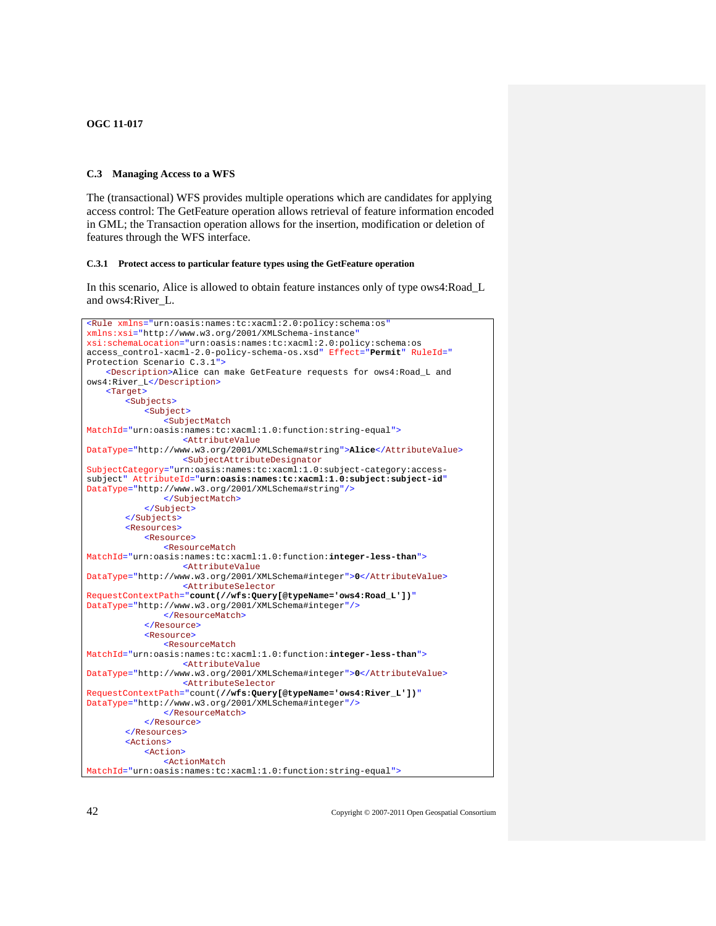#### <span id="page-51-1"></span><span id="page-51-0"></span>**C.3 Managing Access to a WFS**

<span id="page-51-2"></span>The (transactional) WFS provides multiple operations which are candidates for applying access control: The GetFeature operation allows retrieval of feature information encoded in GML; the Transaction operation allows for the insertion, modification or deletion of features through the WFS interface.

#### **C.3.1 Protect access to particular feature types using the GetFeature operation**

In this scenario, Alice is allowed to obtain feature instances only of type ows4:Road\_L and ows4:River\_L.

```
<Rule xmlns="urn:oasis:names:tc:xacml:2.0:policy:schema:os"
xmlns:xsi="http://www.w3.org/2001/XMLSchema-instance"
xsi:schemaLocation="urn:oasis:names:tc:xacml:2.0:policy:schema:os 
access_control-xacml-2.0-policy-schema-os.xsd" Effect="Permit" RuleId="
Protection Scenario C.3.1">
   <Description>Alice can make GetFeature requests for ows4:Road_L and 
ows4:River_L</Description>
   <Target>
        <Subjects>
            <Subject>
                <SubjectMatch
MatchId="urn:oasis:names:tc:xacml:1.0:function:string-equal">
                    <AttributeValue
DataType="http://www.w3.org/2001/XMLSchema#string">Alice</AttributeValue>
                   <SubjectAttributeDesignator
SubjectCategory="urn:oasis:names:tc:xacml:1.0:subject-category:access-
subject" AttributeId="urn:oasis:names:tc:xacml:1.0:subject:subject-id"
DataType="http://www.w3.org/2001/XMLSchema#string"/>
                </SubjectMatch>
            </Subject>
        </Subjects>
        <Resources>
            <Resource> 
                <ResourceMatch
MatchId="urn:oasis:names:tc:xacml:1.0:function:integer-less-than">
                    <AttributeValue
DataType="http://www.w3.org/2001/XMLSchema#integer">0</AttributeValue>
                   <AttributeSelector
RequestContextPath="count(//wfs:Query[@typeName='ows4:Road_L'])"
DataType="http://www.w3.org/2001/XMLSchema#integer"/>
               </ResourceMatch>
            </Resource>
            <Resource> 
                <ResourceMatch
MatchId="urn:oasis:names:tc:xacml:1.0:function:integer-less-than">
                   <AttributeValue
DataType="http://www.w3.org/2001/XMLSchema#integer">0</AttributeValue>
                   <AttributeSelector
RequestContextPath="count(//wfs:Query[@typeName='ows4:River_L'])"
DataType="http://www.w3.org/2001/XMLSchema#integer"/>
               </ResourceMatch>
            </Resource>
        </Resources> 
        <Actions>
            <Action>
                <ActionMatch
MatchId="urn:oasis:names:tc:xacml:1.0:function:string-equal">
```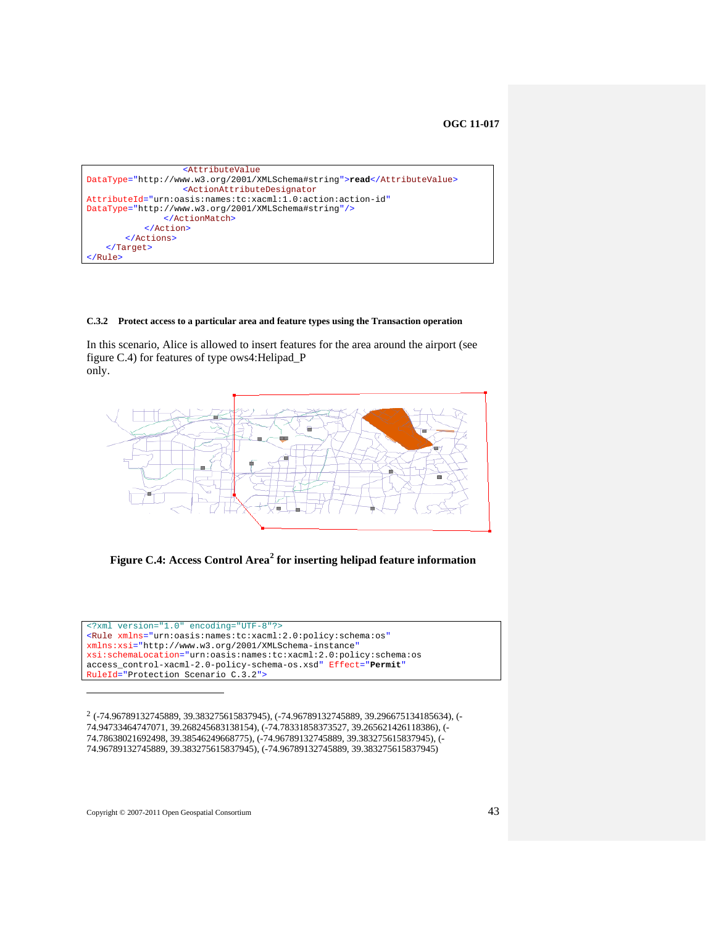```
 <AttributeValue
DataType="http://www.w3.org/2001/XMLSchema#string">read</AttributeValue>
                    <ActionAttributeDesignator
AttributeId="urn:oasis:names:tc:xacml:1.0:action:action-id"
DataType="http://www.w3.org/2001/XMLSchema#string"/>
                </ActionMatch>
            </Action>
        </Actions>
   </Target>
</Rule>
```
#### <span id="page-52-1"></span>**C.3.2 Protect access to a particular area and feature types using the Transaction operation**

In this scenario, Alice is allowed to insert features for the area around the airport (see figure C.4) for features of type ows4:Helipad\_P only.



**Figure C.4: Access Control Area[2](#page-52-2) for inserting helipad feature information** 

<?xml version="1.0" encoding="UTF-8"?> <Rule xmlns="urn:oasis:names:tc:xacml:2.0:policy:schema:os" xmlns:xsi="http://www.w3.org/2001/XMLSchema-instance" xsi:schemaLocation="urn:oasis:names:tc:xacml:2.0:policy:schema:os access\_control-xacml-2.0-policy-schema-os.xsd" Effect="**Permit**" RuleId="Protection Scenario C.3.2">

<span id="page-52-2"></span>2 (-74.96789132745889, 39.383275615837945), (-74.96789132745889, 39.296675134185634), (- 74.94733464747071, 39.268245683138154), (-74.78331858373527, 39.265621426118386), (- 74.78638021692498, 39.38546249668775), (-74.96789132745889, 39.383275615837945), (- 74.96789132745889, 39.383275615837945), (-74.96789132745889, 39.383275615837945)

1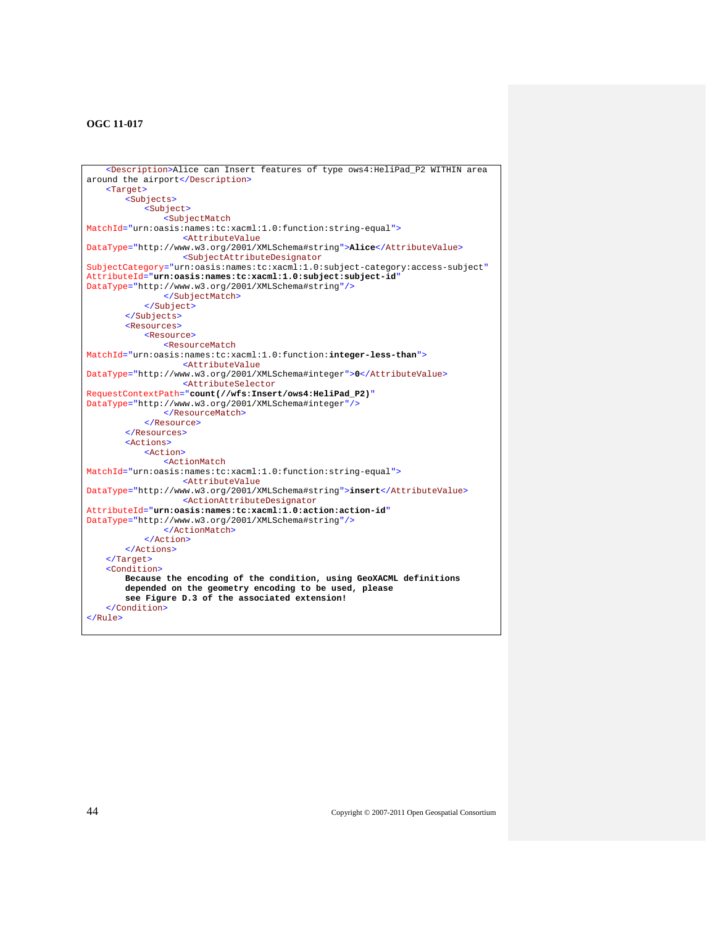```
<Description>Alice can Insert features of type ows4:HeliPad_P2 WITHIN area 
around the airport</Description>
    <Target>
        <Subjects>
            <Subject>
                <SubjectMatch
MatchId="urn:oasis:names:tc:xacml:1.0:function:string-equal">
                   <AttributeValue
DataType="http://www.w3.org/2001/XMLSchema#string">Alice</AttributeValue>
                   <SubjectAttributeDesignator
SubjectCategory="urn:oasis:names:tc:xacml:1.0:subject-category:access-subject"
AttributeId="urn:oasis:names:tc:xacml:1.0:subject:subject-id"
DataType="http://www.w3.org/2001/XMLSchema#string"/>
                </SubjectMatch>
            </Subject>
        </Subjects>
        <Resources>
            <Resource>
                <ResourceMatch
MatchId="urn:oasis:names:tc:xacml:1.0:function:integer-less-than">
                    <AttributeValue
DataType="http://www.w3.org/2001/XMLSchema#integer">0</AttributeValue>
                    <AttributeSelector
RequestContextPath="count(//wfs:Insert/ows4:HeliPad_P2)"
DataType="http://www.w3.org/2001/XMLSchema#integer"/>
                </ResourceMatch>
            </Resource>
        </Resources>
        <Actions>
            <Action>
                <ActionMatch
MatchId="urn:oasis:names:tc:xacml:1.0:function:string-equal">
                    <AttributeValue
DataType="http://www.w3.org/2001/XMLSchema#string">insert</AttributeValue>
                    <ActionAttributeDesignator
AttributeId="urn:oasis:names:tc:xacml:1.0:action:action-id"
DataType="http://www.w3.org/2001/XMLSchema#string"/>
                </ActionMatch>
            </Action>
        </Actions>
   </Target>
    <Condition>
        Because the encoding of the condition, using GeoXACML definitions 
        depended on the geometry encoding to be used, please 
        see Figure D.3 of the associated extension! 
   </Condition>
</Rule>
```
44 Copyright © 2007-2011 Open Geospatial Consortium